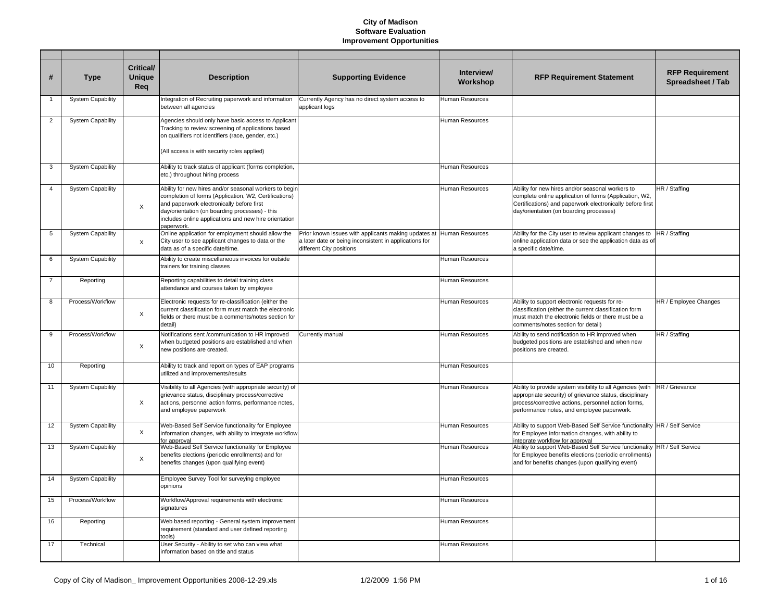| #              | <b>Type</b>              | Critical/<br><b>Unique</b><br>Req | <b>Description</b>                                                                                                                                                                                                                                                                    | <b>Supporting Evidence</b>                                                                                                                                 | Interview/<br>Workshop | <b>RFP Requirement Statement</b>                                                                                                                                                                                           | <b>RFP Requirement</b><br>Spreadsheet / Tab |
|----------------|--------------------------|-----------------------------------|---------------------------------------------------------------------------------------------------------------------------------------------------------------------------------------------------------------------------------------------------------------------------------------|------------------------------------------------------------------------------------------------------------------------------------------------------------|------------------------|----------------------------------------------------------------------------------------------------------------------------------------------------------------------------------------------------------------------------|---------------------------------------------|
| $\mathbf{1}$   | <b>System Capability</b> |                                   | Integration of Recruiting paperwork and information<br>between all agencies                                                                                                                                                                                                           | Currently Agency has no direct system access to<br>applicant logs                                                                                          | Human Resources        |                                                                                                                                                                                                                            |                                             |
| $\overline{2}$ | <b>System Capability</b> |                                   | Agencies should only have basic access to Applicant<br>Tracking to review screening of applications based<br>on qualifiers not identifiers (race, gender, etc.)<br>(All access is with security roles applied)                                                                        |                                                                                                                                                            | Human Resources        |                                                                                                                                                                                                                            |                                             |
| 3              | <b>System Capability</b> |                                   | Ability to track status of applicant (forms completion,<br>etc.) throughout hiring process                                                                                                                                                                                            |                                                                                                                                                            | Human Resources        |                                                                                                                                                                                                                            |                                             |
| $\overline{4}$ | <b>System Capability</b> | $\boldsymbol{\mathsf{X}}$         | Ability for new hires and/or seasonal workers to begin<br>completion of forms (Application, W2, Certifications)<br>and paperwork electronically before first<br>day/orientation (on boarding processes) - this<br>includes online applications and new hire orientation<br>paperwork. |                                                                                                                                                            | Human Resources        | Ability for new hires and/or seasonal workers to<br>complete online application of forms (Application, W2,<br>Certifications) and paperwork electronically before first<br>day/orientation (on boarding processes)         | HR / Staffing                               |
| 5              | <b>System Capability</b> | X                                 | Online application for employment should allow the<br>City user to see applicant changes to data or the<br>data as of a specific date/time.                                                                                                                                           | Prior known issues with applicants making updates at Human Resources<br>a later date or being inconsistent in applications for<br>different City positions |                        | Ability for the City user to review applicant changes to<br>online application data or see the application data as of<br>a specific date/time.                                                                             | HR / Staffing                               |
| 6              | <b>System Capability</b> |                                   | Ability to create miscellaneous invoices for outside<br>trainers for training classes                                                                                                                                                                                                 |                                                                                                                                                            | Human Resources        |                                                                                                                                                                                                                            |                                             |
| $\overline{7}$ | Reporting                |                                   | Reporting capabilities to detail training class<br>attendance and courses taken by employee                                                                                                                                                                                           |                                                                                                                                                            | Human Resources        |                                                                                                                                                                                                                            |                                             |
| 8              | Process/Workflow         | $\boldsymbol{\mathsf{X}}$         | Electronic requests for re-classification (either the<br>current classification form must match the electronic<br>fields or there must be a comments/notes section for<br>detail)                                                                                                     |                                                                                                                                                            | Human Resources        | Ability to support electronic requests for re-<br>classification (either the current classification form<br>must match the electronic fields or there must be a<br>comments/notes section for detail)                      | HR / Employee Changes                       |
| 9              | Process/Workflow         | $\times$                          | Notifications sent /communication to HR improved<br>when budgeted positions are established and when<br>new positions are created.                                                                                                                                                    | Currently manual                                                                                                                                           | Human Resources        | Ability to send notification to HR improved when<br>budgeted positions are established and when new<br>positions are created.                                                                                              | HR / Staffing                               |
| 10             | Reporting                |                                   | Ability to track and report on types of EAP programs<br>utilized and improvements/results                                                                                                                                                                                             |                                                                                                                                                            | Human Resources        |                                                                                                                                                                                                                            |                                             |
| 11             | <b>System Capability</b> | $\times$                          | Visibility to all Agencies (with appropriate security) of<br>grievance status, disciplinary process/corrective<br>actions, personnel action forms, performance notes,<br>and employee paperwork                                                                                       |                                                                                                                                                            | Human Resources        | Ability to provide system visibility to all Agencies (with<br>appropriate security) of grievance status, disciplinary<br>process/corrective actions, personnel action forms,<br>performance notes, and employee paperwork. | HR / Grievance                              |
| 12             | <b>System Capability</b> | X                                 | Web-Based Self Service functionality for Employee<br>information changes, with ability to integrate workflow<br>for approval                                                                                                                                                          |                                                                                                                                                            | Human Resources        | Ability to support Web-Based Self Service functionality HR / Self Service<br>for Employee information changes, with ability to<br>integrate workflow for approval                                                          |                                             |
| 13             | <b>System Capability</b> | X                                 | Web-Based Self Service functionality for Employee<br>benefits elections (periodic enrollments) and for<br>benefits changes (upon qualifying event)                                                                                                                                    |                                                                                                                                                            | Human Resources        | Ability to support Web-Based Self Service functionality HR / Self Service<br>for Employee benefits elections (periodic enrollments)<br>and for benefits changes (upon qualifying event)                                    |                                             |
| 14             | <b>System Capability</b> |                                   | Employee Survey Tool for surveying employee<br>opinions                                                                                                                                                                                                                               |                                                                                                                                                            | Human Resources        |                                                                                                                                                                                                                            |                                             |
| 15             | Process/Workflow         |                                   | Workflow/Approval requirements with electronic<br>signatures                                                                                                                                                                                                                          |                                                                                                                                                            | Human Resources        |                                                                                                                                                                                                                            |                                             |
| 16             | Reporting                |                                   | Web based reporting - General system improvement<br>requirement (standard and user defined reporting<br>tools)                                                                                                                                                                        |                                                                                                                                                            | Human Resources        |                                                                                                                                                                                                                            |                                             |
| 17             | Technical                |                                   | User Security - Ability to set who can view what<br>information based on title and status                                                                                                                                                                                             |                                                                                                                                                            | Human Resources        |                                                                                                                                                                                                                            |                                             |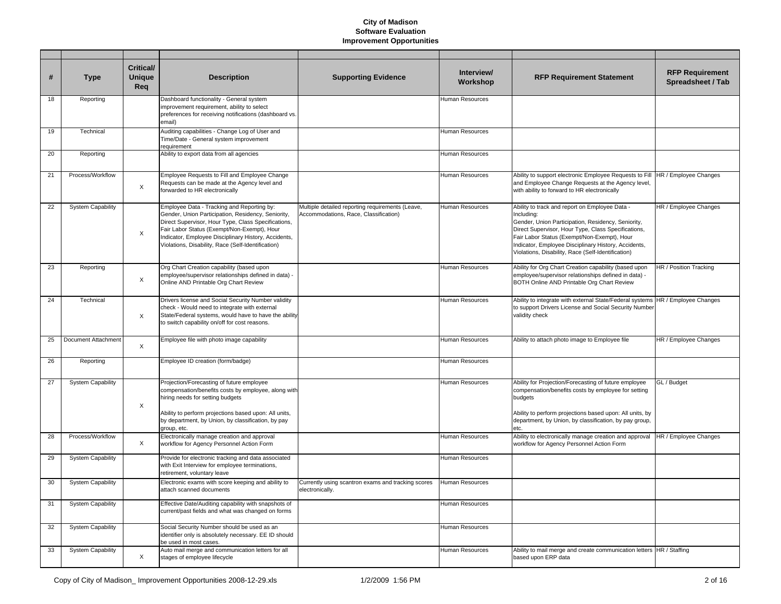| #  | Type                     | <b>Critical/</b><br><b>Unique</b><br>Req | <b>Description</b>                                                                                                                                                                                                                                                                                                   | <b>Supporting Evidence</b>                                                                | Interview/<br>Workshop | <b>RFP Requirement Statement</b>                                                                                                                                                                                                                                                                                                       | <b>RFP Requirement</b><br>Spreadsheet / Tab |
|----|--------------------------|------------------------------------------|----------------------------------------------------------------------------------------------------------------------------------------------------------------------------------------------------------------------------------------------------------------------------------------------------------------------|-------------------------------------------------------------------------------------------|------------------------|----------------------------------------------------------------------------------------------------------------------------------------------------------------------------------------------------------------------------------------------------------------------------------------------------------------------------------------|---------------------------------------------|
| 18 | Reporting                |                                          | Dashboard functionality - General system<br>improvement requirement, ability to select<br>preferences for receiving notifications (dashboard vs.<br>email)                                                                                                                                                           |                                                                                           | Human Resources        |                                                                                                                                                                                                                                                                                                                                        |                                             |
| 19 | Technical                |                                          | Auditing capabilities - Change Log of User and<br>Time/Date - General system improvement<br>requirement                                                                                                                                                                                                              |                                                                                           | Human Resources        |                                                                                                                                                                                                                                                                                                                                        |                                             |
| 20 | Reporting                |                                          | Ability to export data from all agencies                                                                                                                                                                                                                                                                             |                                                                                           | Human Resources        |                                                                                                                                                                                                                                                                                                                                        |                                             |
| 21 | Process/Workflow         | X                                        | Employee Requests to Fill and Employee Change<br>Requests can be made at the Agency level and<br>forwarded to HR electronically                                                                                                                                                                                      |                                                                                           | Human Resources        | Ability to support electronic Employee Requests to Fill HR / Employee Changes<br>and Employee Change Requests at the Agency level,<br>with ability to forward to HR electronically                                                                                                                                                     |                                             |
| 22 | <b>System Capability</b> | X                                        | Employee Data - Tracking and Reporting by:<br>Gender, Union Participation, Residency, Seniority,<br>Direct Supervisor, Hour Type, Class Specifications,<br>Fair Labor Status (Exempt/Non-Exempt), Hour<br>Indicator, Employee Disciplinary History, Accidents,<br>Violations, Disability, Race (Self-Identification) | Multiple detailed reporting requirements (Leave,<br>Accommodations, Race, Classification) | Human Resources        | Ability to track and report on Employee Data -<br>Including:<br>Gender, Union Participation, Residency, Seniority,<br>Direct Supervisor, Hour Type, Class Specifications,<br>Fair Labor Status (Exempt/Non-Exempt), Hour<br>Indicator, Employee Disciplinary History, Accidents,<br>Violations, Disability, Race (Self-Identification) | HR / Employee Changes                       |
| 23 | Reporting                | $\times$                                 | Org Chart Creation capability (based upon<br>employee/supervisor relationships defined in data) -<br>Online AND Printable Org Chart Review                                                                                                                                                                           |                                                                                           | <b>Human Resources</b> | Ability for Org Chart Creation capability (based upon<br>employee/supervisor relationships defined in data) -<br>BOTH Online AND Printable Org Chart Review                                                                                                                                                                            | HR / Position Tracking                      |
| 24 | Technical                | X                                        | Drivers license and Social Security Number validity<br>check - Would need to integrate with external<br>State/Federal systems, would have to have the ability<br>to switch capability on/off for cost reasons.                                                                                                       |                                                                                           | Human Resources        | Ability to integrate with external State/Federal systems  HR / Employee Changes<br>to support Drivers License and Social Security Number<br>validity check                                                                                                                                                                             |                                             |
| 25 | Document Attachment      | X                                        | Employee file with photo image capability                                                                                                                                                                                                                                                                            |                                                                                           | Human Resources        | Ability to attach photo image to Employee file                                                                                                                                                                                                                                                                                         | HR / Employee Changes                       |
| 26 | Reporting                |                                          | Employee ID creation (form/badge)                                                                                                                                                                                                                                                                                    |                                                                                           | Human Resources        |                                                                                                                                                                                                                                                                                                                                        |                                             |
| 27 | <b>System Capability</b> | X                                        | Projection/Forecasting of future employee<br>compensation/benefits costs by employee, along with<br>hiring needs for setting budgets<br>Ability to perform projections based upon: All units,<br>by department, by Union, by classification, by pay<br>group, etc.                                                   |                                                                                           | Human Resources        | Ability for Projection/Forecasting of future employee<br>compensation/benefits costs by employee for setting<br>budgets<br>Ability to perform projections based upon: All units, by<br>department, by Union, by classification, by pay group,<br>etc.                                                                                  | GL / Budget                                 |
| 28 | Process/Workflow         | X                                        | Electronically manage creation and approval<br>workflow for Agency Personnel Action Form                                                                                                                                                                                                                             |                                                                                           | Human Resources        | Ability to electronically manage creation and approval<br>workflow for Agency Personnel Action Form                                                                                                                                                                                                                                    | HR / Employee Changes                       |
| 29 | <b>System Capability</b> |                                          | Provide for electronic tracking and data associated<br>with Exit Interview for employee terminations,<br>retirement, voluntary leave                                                                                                                                                                                 |                                                                                           | Human Resources        |                                                                                                                                                                                                                                                                                                                                        |                                             |
| 30 | <b>System Capability</b> |                                          | Electronic exams with score keeping and ability to<br>attach scanned documents                                                                                                                                                                                                                                       | Currently using scantron exams and tracking scores<br>electronically.                     | Human Resources        |                                                                                                                                                                                                                                                                                                                                        |                                             |
| 31 | <b>System Capability</b> |                                          | Effective Date/Auditing capability with snapshots of<br>current/past fields and what was changed on forms                                                                                                                                                                                                            |                                                                                           | Human Resources        |                                                                                                                                                                                                                                                                                                                                        |                                             |
| 32 | <b>System Capability</b> |                                          | Social Security Number should be used as an<br>identifier only is absolutely necessary. EE ID should<br>be used in most cases.                                                                                                                                                                                       |                                                                                           | Human Resources        |                                                                                                                                                                                                                                                                                                                                        |                                             |
| 33 | <b>System Capability</b> | X                                        | Auto mail merge and communication letters for all<br>stages of employee lifecycle                                                                                                                                                                                                                                    |                                                                                           | Human Resources        | Ability to mail merge and create communication letters  HR / Staffing<br>based upon ERP data                                                                                                                                                                                                                                           |                                             |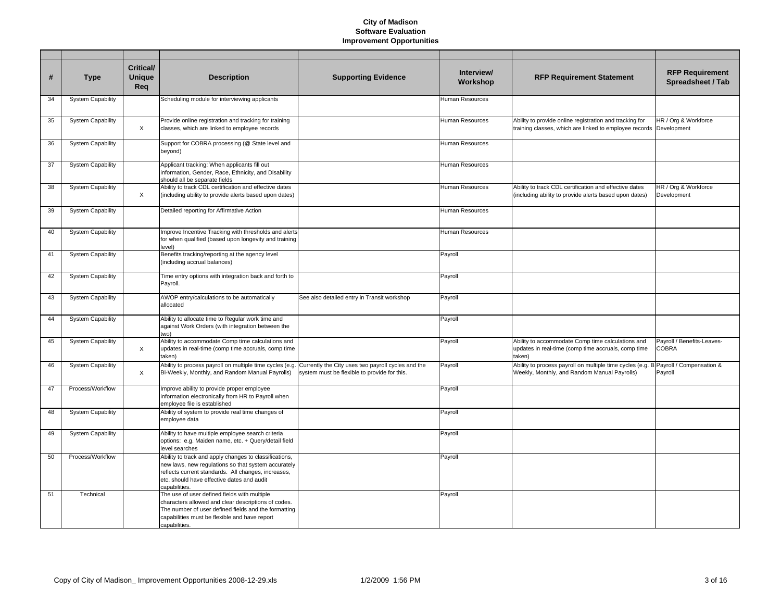| #  | <b>Type</b>              | <b>Critical/</b><br><b>Unique</b><br>Req | <b>Description</b>                                                                                                                                                                                                                  | <b>Supporting Evidence</b>                                                                         | Interview/<br>Workshop | <b>RFP Requirement Statement</b>                                                                                   | <b>RFP Requirement</b><br>Spreadsheet / Tab |
|----|--------------------------|------------------------------------------|-------------------------------------------------------------------------------------------------------------------------------------------------------------------------------------------------------------------------------------|----------------------------------------------------------------------------------------------------|------------------------|--------------------------------------------------------------------------------------------------------------------|---------------------------------------------|
| 34 | <b>System Capability</b> |                                          | Scheduling module for interviewing applicants                                                                                                                                                                                       |                                                                                                    | Human Resources        |                                                                                                                    |                                             |
| 35 | <b>System Capability</b> | X                                        | Provide online registration and tracking for training<br>classes, which are linked to employee records                                                                                                                              |                                                                                                    | Human Resources        | Ability to provide online registration and tracking for<br>training classes, which are linked to employee records  | HR / Org & Workforce<br>Development         |
| 36 | <b>System Capability</b> |                                          | Support for COBRA processing (@ State level and<br>beyond)                                                                                                                                                                          |                                                                                                    | Human Resources        |                                                                                                                    |                                             |
| 37 | <b>System Capability</b> |                                          | Applicant tracking: When applicants fill out<br>information, Gender, Race, Ethnicity, and Disability<br>should all be separate fields                                                                                               |                                                                                                    | Human Resources        |                                                                                                                    |                                             |
| 38 | <b>System Capability</b> | X                                        | Ability to track CDL certification and effective dates<br>(including ability to provide alerts based upon dates)                                                                                                                    |                                                                                                    | Human Resources        | Ability to track CDL certification and effective dates<br>(including ability to provide alerts based upon dates)   | HR / Org & Workforce<br>Development         |
| 39 | <b>System Capability</b> |                                          | Detailed reporting for Affirmative Action                                                                                                                                                                                           |                                                                                                    | Human Resources        |                                                                                                                    |                                             |
| 40 | <b>System Capability</b> |                                          | Improve Incentive Tracking with thresholds and alerts<br>for when qualified (based upon longevity and training<br>level)                                                                                                            |                                                                                                    | Human Resources        |                                                                                                                    |                                             |
| 41 | <b>System Capability</b> |                                          | Benefits tracking/reporting at the agency level<br>(including accrual balances)                                                                                                                                                     |                                                                                                    | Payroll                |                                                                                                                    |                                             |
| 42 | <b>System Capability</b> |                                          | Time entry options with integration back and forth to<br>Payroll.                                                                                                                                                                   |                                                                                                    | Payroll                |                                                                                                                    |                                             |
| 43 | <b>System Capability</b> |                                          | AWOP entry/calculations to be automatically<br>allocated                                                                                                                                                                            | See also detailed entry in Transit workshop                                                        | Payroll                |                                                                                                                    |                                             |
| 44 | <b>System Capability</b> |                                          | Ability to allocate time to Regular work time and<br>against Work Orders (with integration between the<br>two)                                                                                                                      |                                                                                                    | Payroll                |                                                                                                                    |                                             |
| 45 | <b>System Capability</b> | $\times$                                 | Ability to accommodate Comp time calculations and<br>updates in real-time (comp time accruals, comp time<br>taken)                                                                                                                  |                                                                                                    | Payroll                | Ability to accommodate Comp time calculations and<br>updates in real-time (comp time accruals, comp time<br>taken) | Payroll / Benefits-Leaves-<br><b>COBRA</b>  |
| 46 | <b>System Capability</b> | X                                        | Ability to process payroll on multiple time cycles (e.g.<br>Bi-Weekly, Monthly, and Random Manual Payrolls)                                                                                                                         | Currently the City uses two payroll cycles and the<br>system must be flexible to provide for this. | Payroll                | Ability to process payroll on multiple time cycles (e.g.<br>Weekly, Monthly, and Random Manual Payrolls)           | B Payroll / Compensation &<br>Payroll       |
| 47 | Process/Workflow         |                                          | Improve ability to provide proper employee<br>information electronically from HR to Payroll when<br>employee file is established                                                                                                    |                                                                                                    | Payroll                |                                                                                                                    |                                             |
| 48 | <b>System Capability</b> |                                          | Ability of system to provide real time changes of<br>employee data                                                                                                                                                                  |                                                                                                    | Payroll                |                                                                                                                    |                                             |
| 49 | <b>System Capability</b> |                                          | Ability to have multiple employee search criteria<br>options: e.g. Maiden name, etc. + Query/detail field<br>level searches                                                                                                         |                                                                                                    | Payroll                |                                                                                                                    |                                             |
| 50 | Process/Workflow         |                                          | Ability to track and apply changes to classifications,<br>new laws, new regulations so that system accurately<br>reflects current standards. All changes, increases,<br>etc. should have effective dates and audit<br>capabilities. |                                                                                                    | Payroll                |                                                                                                                    |                                             |
| 51 | Technical                |                                          | The use of user defined fields with multiple<br>characters allowed and clear descriptions of codes.<br>The number of user defined fields and the formatting<br>capabilities must be flexible and have report<br>capabilities.       |                                                                                                    | Payroll                |                                                                                                                    |                                             |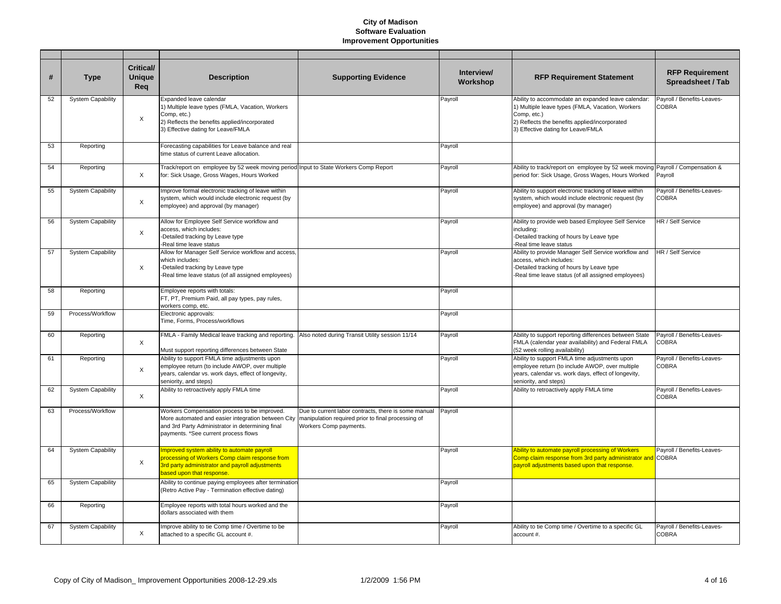| #  | <b>Type</b>              | <b>Critical/</b><br><b>Unique</b><br>Req | <b>Description</b>                                                                                                                                                                             | <b>Supporting Evidence</b>                                                                                                           | Interview/<br>Workshop | <b>RFP Requirement Statement</b>                                                                                                                                                                             | <b>RFP Requirement</b><br>Spreadsheet / Tab |
|----|--------------------------|------------------------------------------|------------------------------------------------------------------------------------------------------------------------------------------------------------------------------------------------|--------------------------------------------------------------------------------------------------------------------------------------|------------------------|--------------------------------------------------------------------------------------------------------------------------------------------------------------------------------------------------------------|---------------------------------------------|
| 52 | <b>System Capability</b> | $\times$                                 | Expanded leave calendar<br>1) Multiple leave types (FMLA, Vacation, Workers<br>Comp, etc.)<br>2) Reflects the benefits applied/incorporated<br>3) Effective dating for Leave/FMLA              |                                                                                                                                      | Payroll                | Ability to accommodate an expanded leave calendar:<br>1) Multiple leave types (FMLA, Vacation, Workers<br>Comp, etc.)<br>2) Reflects the benefits applied/incorporated<br>3) Effective dating for Leave/FMLA | Payroll / Benefits-Leaves-<br><b>COBRA</b>  |
| 53 | Reporting                |                                          | Forecasting capabilities for Leave balance and real<br>time status of current Leave allocation.                                                                                                |                                                                                                                                      | Payroll                |                                                                                                                                                                                                              |                                             |
| 54 | Reporting                | $\times$                                 | Track/report on employee by 52 week moving period Input to State Workers Comp Report<br>for: Sick Usage, Gross Wages, Hours Worked                                                             |                                                                                                                                      | Payroll                | Ability to track/report on employee by 52 week moving Payroll / Compensation &<br>period for: Sick Usage, Gross Wages, Hours Worked                                                                          | Payroll                                     |
| 55 | <b>System Capability</b> | $\times$                                 | Improve formal electronic tracking of leave within<br>system, which would include electronic request (by<br>employee) and approval (by manager)                                                |                                                                                                                                      | Payroll                | Ability to support electronic tracking of leave within<br>system, which would include electronic request (by<br>employee) and approval (by manager)                                                          | Payroll / Benefits-Leaves-<br><b>COBRA</b>  |
| 56 | <b>System Capability</b> | $\times$                                 | Allow for Employee Self Service workflow and<br>access, which includes:<br>-Detailed tracking by Leave type<br>-Real time leave status                                                         |                                                                                                                                      | Payroll                | Ability to provide web based Employee Self Service<br>including:<br>-Detailed tracking of hours by Leave type<br>Real time leave status                                                                      | HR / Self Service                           |
| 57 | <b>System Capability</b> | $\times$                                 | Allow for Manager Self Service workflow and access,<br>which includes:<br>-Detailed tracking by Leave type<br>-Real time leave status (of all assigned employees)                              |                                                                                                                                      | Payroll                | Ability to provide Manager Self Service workflow and<br>access, which includes:<br>-Detailed tracking of hours by Leave type<br>Real time leave status (of all assigned employees)                           | HR / Self Service                           |
| 58 | Reporting                |                                          | Employee reports with totals:<br>FT, PT, Premium Paid, all pay types, pay rules,<br>workers comp, etc.                                                                                         |                                                                                                                                      | Payroll                |                                                                                                                                                                                                              |                                             |
| 59 | Process/Workflow         |                                          | Electronic approvals:<br>Time, Forms, Process/workflows                                                                                                                                        |                                                                                                                                      | Payroll                |                                                                                                                                                                                                              |                                             |
| 60 | Reporting                | $\times$                                 | FMLA - Family Medical leave tracking and reporting.<br>Must support reporting differences between State                                                                                        | Also noted during Transit Utility session 11/14                                                                                      | Payroll                | Ability to support reporting differences between State<br>FMLA (calendar year availability) and Federal FMLA<br>(52 week rolling availability)                                                               | Payroll / Benefits-Leaves-<br><b>COBRA</b>  |
| 61 | Reporting                | X                                        | Ability to support FMLA time adjustments upon<br>employee return (to include AWOP, over multiple<br>years, calendar vs. work days, effect of longevity,<br>seniority, and steps)               |                                                                                                                                      | Payroll                | Ability to support FMLA time adjustments upon<br>employee return (to include AWOP, over multiple<br>years, calendar vs. work days, effect of longevity,<br>seniority, and steps)                             | Payroll / Benefits-Leaves-<br><b>COBRA</b>  |
| 62 | <b>System Capability</b> | X                                        | Ability to retroactively apply FMLA time                                                                                                                                                       |                                                                                                                                      | Payroll                | Ability to retroactively apply FMLA time                                                                                                                                                                     | Payroll / Benefits-Leaves-<br><b>COBRA</b>  |
| 63 | Process/Workflow         |                                          | Workers Compensation process to be improved.<br>More automated and easier integration between City<br>and 3rd Party Administrator in determining final<br>payments. *See current process flows | Due to current labor contracts, there is some manual<br>manipulation required prior to final processing of<br>Workers Comp payments. | Payroll                |                                                                                                                                                                                                              |                                             |
| 64 | <b>System Capability</b> | $\times$                                 | Improved system ability to automate payroll<br>processing of Workers Comp claim response from<br>3rd party administrator and payroll adjustments<br>based upon that response.                  |                                                                                                                                      | Payroll                | Ability to automate payroll processing of Workers<br>Comp claim response from 3rd party administrator and COBRA<br>payroll adjustments based upon that response.                                             | Payroll / Benefits-Leaves-                  |
| 65 | <b>System Capability</b> |                                          | Ability to continue paying employees after termination<br>(Retro Active Pay - Termination effective dating)                                                                                    |                                                                                                                                      | Payroll                |                                                                                                                                                                                                              |                                             |
| 66 | Reporting                |                                          | Employee reports with total hours worked and the<br>dollars associated with them                                                                                                               |                                                                                                                                      | Payroll                |                                                                                                                                                                                                              |                                             |
| 67 | <b>System Capability</b> | X                                        | Improve ability to tie Comp time / Overtime to be<br>attached to a specific GL account #.                                                                                                      |                                                                                                                                      | Payroll                | Ability to tie Comp time / Overtime to a specific GL<br>account #.                                                                                                                                           | Payroll / Benefits-Leaves-<br><b>COBRA</b>  |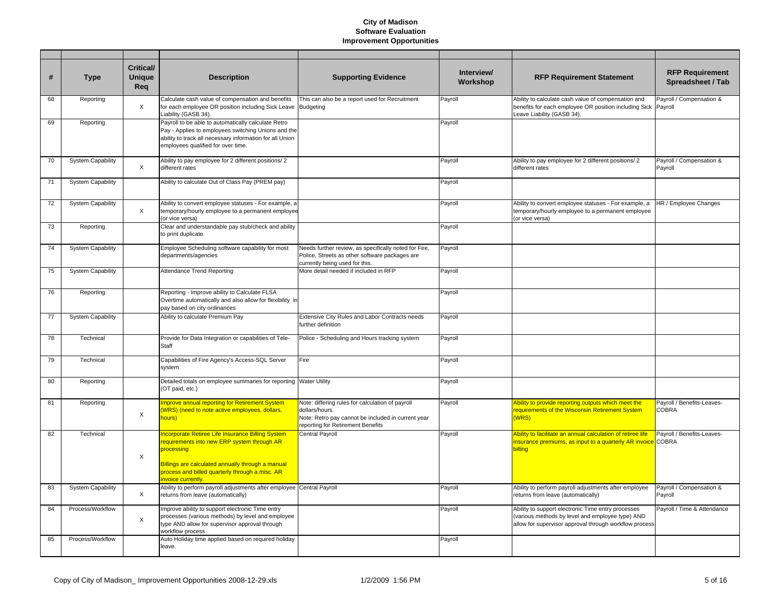| #  | <b>Type</b>              | Critical/<br><b>Unique</b><br>Req | <b>Description</b>                                                                                                                                                                                                                         | <b>Supporting Evidence</b>                                                                                                                                    | Interview/<br>Workshop | <b>RFP Requirement Statement</b>                                                                                                                                 | <b>RFP Requirement</b><br>Spreadsheet / Tab |
|----|--------------------------|-----------------------------------|--------------------------------------------------------------------------------------------------------------------------------------------------------------------------------------------------------------------------------------------|---------------------------------------------------------------------------------------------------------------------------------------------------------------|------------------------|------------------------------------------------------------------------------------------------------------------------------------------------------------------|---------------------------------------------|
| 68 | Reporting                | X                                 | Calculate cash value of compensation and benefits<br>for each employee OR position including Sick Leave<br>Liability (GASB 34).                                                                                                            | This can also be a report used for Recruitment<br><b>Budgeting</b>                                                                                            | Payroll                | Ability to calculate cash value of compensation and<br>benefits for each employee OR position including Sick<br>Leave Liability (GASB 34).                       | Payroll / Compensation &<br>Payroll         |
| 69 | Reporting                |                                   | Payroll to be able to automatically calculate Retro<br>Pay - Applies to employees switching Unions and the<br>ability to track all necessary information for all Union<br>employees qualified for over time.                               |                                                                                                                                                               | Payroll                |                                                                                                                                                                  |                                             |
| 70 | <b>System Capability</b> | $\times$                          | Ability to pay employee for 2 different positions/ 2<br>different rates                                                                                                                                                                    |                                                                                                                                                               | Payroll                | Ability to pay employee for 2 different positions/ 2<br>different rates                                                                                          | Payroll / Compensation &<br>Payroll         |
| 71 | <b>System Capability</b> |                                   | Ability to calculate Out of Class Pay (PREM pay)                                                                                                                                                                                           |                                                                                                                                                               | Payroll                |                                                                                                                                                                  |                                             |
| 72 | <b>System Capability</b> | X                                 | Ability to convert employee statuses - For example, a<br>temporary/hourly employee to a permanent employee<br>(or vice versa)                                                                                                              |                                                                                                                                                               | Payroll                | Ability to convert employee statuses - For example, a<br>temporary/hourly employee to a permanent employee<br>(or vice versa)                                    | HR / Employee Changes                       |
| 73 | Reporting                |                                   | Clear and understandable pay stub/check and ability<br>to print duplicate                                                                                                                                                                  |                                                                                                                                                               | Payroll                |                                                                                                                                                                  |                                             |
| 74 | <b>System Capability</b> |                                   | Employee Scheduling software capability for most<br>departments/agencies                                                                                                                                                                   | Needs further review, as specifically noted for Fire,<br>Police, Streets as other software packages are<br>currently being used for this.                     | Payroll                |                                                                                                                                                                  |                                             |
| 75 | <b>System Capability</b> |                                   | Attendance Trend Reporting                                                                                                                                                                                                                 | More detail needed if included in RFP                                                                                                                         | Payroll                |                                                                                                                                                                  |                                             |
| 76 | Reporting                |                                   | Reporting - Improve ability to Calculate FLSA<br>Overtime automatically and also allow for flexibility in<br>pay based on city ordinances                                                                                                  |                                                                                                                                                               | Payroll                |                                                                                                                                                                  |                                             |
| 77 | <b>System Capability</b> |                                   | Ability to calculate Premium Pay                                                                                                                                                                                                           | Extensive City Rules and Labor Contracts needs<br>further definition                                                                                          | Payroll                |                                                                                                                                                                  |                                             |
| 78 | Technical                |                                   | Provide for Data Integration or capabilities of Tele-<br>Staff                                                                                                                                                                             | Police - Scheduling and Hours tracking system                                                                                                                 | Payroll                |                                                                                                                                                                  |                                             |
| 79 | Technical                |                                   | Capabilities of Fire Agency's Access-SQL Server<br>system                                                                                                                                                                                  | Fire                                                                                                                                                          | Payroll                |                                                                                                                                                                  |                                             |
| 80 | Reporting                |                                   | Detailed totals on employee summaries for reporting Water Utility<br>(OT paid, etc.)                                                                                                                                                       |                                                                                                                                                               | Payroll                |                                                                                                                                                                  |                                             |
| 81 | Reporting                | $\mathsf X$                       | mprove annual reporting for Retirement System<br>(WRS) (need to note active employees, dollars,<br>hours)                                                                                                                                  | Note: differing rules for calculation of payroll<br>dollars/hours.<br>Note: Retro pay cannot be included in current year<br>reporting for Retirement Benefits | Payroll                | Ability to provide reporting outputs which meet the<br>requirements of the Wisconsin Retirement System<br>(WRS)                                                  | Payroll / Benefits-Leaves-<br><b>COBRA</b>  |
| 82 | Technical                | X                                 | ncorporate Retiree Life Insurance Billing System<br>requirements into new ERP system through AR<br>processing<br>Billings are calculated annually through a manual<br>process and billed quarterly through a misc. AR<br>nvoice currently. | <b>Central Payroll</b>                                                                                                                                        | Payroll                | Ability to facilitate an annual calculation of retiree life<br>insurance premiums, as input to a quarterly AR invoice COBRA<br>pilling                           | Payroll / Benefits-Leaves-                  |
| 83 | <b>System Capability</b> | X                                 | Ability to perform payroll adjustments after employee Central Payroll<br>returns from leave (automatically)                                                                                                                                |                                                                                                                                                               | Payroll                | Ability to perform payroll adjustments after employee<br>returns from leave (automatically)                                                                      | Payroll / Compensation &<br>Payroll         |
| 84 | Process/Workflow         | X                                 | Improve ability to support electronic Time entry<br>processes (various methods) by level and employee<br>type AND allow for supervisor approval through<br>workflow process                                                                |                                                                                                                                                               | Payroll                | Ability to support electronic Time entry processes<br>(various methods by level and employee type) AND<br>allow for supervisor approval through workflow process | Payroll / Time & Attendance                 |
| 85 | Process/Workflow         |                                   | Auto Holiday time applied based on required holiday<br>leave.                                                                                                                                                                              |                                                                                                                                                               | Payroll                |                                                                                                                                                                  |                                             |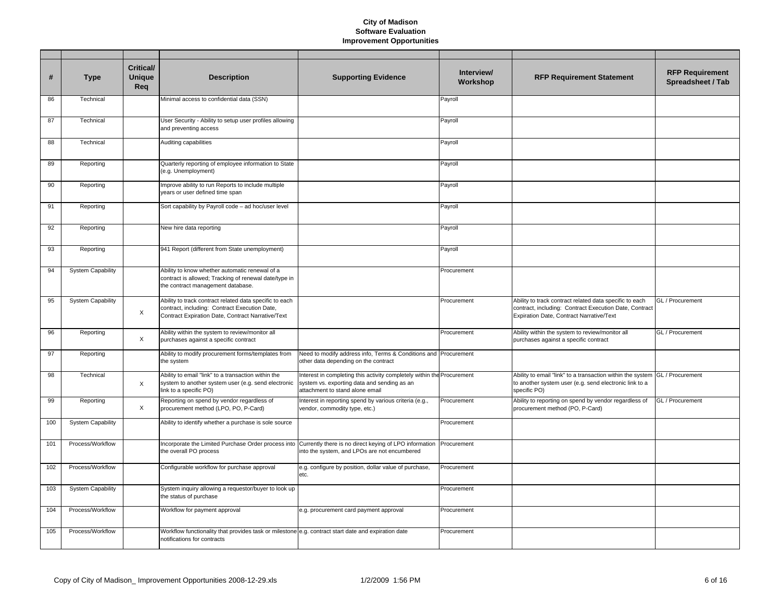| #   | <b>Type</b>              | <b>Critical/</b><br><b>Unique</b><br>Req | <b>Description</b>                                                                                                                                            | <b>Supporting Evidence</b>                                                                                                                                 | Interview/<br>Workshop | <b>RFP Requirement Statement</b>                                                                                                                              | <b>RFP Requirement</b><br>Spreadsheet / Tab |
|-----|--------------------------|------------------------------------------|---------------------------------------------------------------------------------------------------------------------------------------------------------------|------------------------------------------------------------------------------------------------------------------------------------------------------------|------------------------|---------------------------------------------------------------------------------------------------------------------------------------------------------------|---------------------------------------------|
| 86  | Technical                |                                          | Minimal access to confidential data (SSN)                                                                                                                     |                                                                                                                                                            | Payroll                |                                                                                                                                                               |                                             |
| 87  | Technical                |                                          | User Security - Ability to setup user profiles allowing<br>and preventing access                                                                              |                                                                                                                                                            | Payroll                |                                                                                                                                                               |                                             |
| 88  | Technical                |                                          | Auditing capabilities                                                                                                                                         |                                                                                                                                                            | Payroll                |                                                                                                                                                               |                                             |
| 89  | Reporting                |                                          | Quarterly reporting of employee information to State<br>(e.g. Unemployment)                                                                                   |                                                                                                                                                            | Payroll                |                                                                                                                                                               |                                             |
| 90  | Reporting                |                                          | Improve ability to run Reports to include multiple<br>years or user defined time span                                                                         |                                                                                                                                                            | Payroll                |                                                                                                                                                               |                                             |
| 91  | Reporting                |                                          | Sort capability by Payroll code - ad hoc/user level                                                                                                           |                                                                                                                                                            | Payroll                |                                                                                                                                                               |                                             |
| 92  | Reporting                |                                          | New hire data reporting                                                                                                                                       |                                                                                                                                                            | Payroll                |                                                                                                                                                               |                                             |
| 93  | Reporting                |                                          | 941 Report (different from State unemployment)                                                                                                                |                                                                                                                                                            | Payroll                |                                                                                                                                                               |                                             |
| 94  | <b>System Capability</b> |                                          | Ability to know whether automatic renewal of a<br>contract is allowed; Tracking of renewal date/type in<br>the contract management database.                  |                                                                                                                                                            | Procurement            |                                                                                                                                                               |                                             |
| 95  | <b>System Capability</b> | X                                        | Ability to track contract related data specific to each<br>contract, including: Contract Execution Date,<br>Contract Expiration Date, Contract Narrative/Text |                                                                                                                                                            | Procurement            | Ability to track contract related data specific to each<br>contract, including: Contract Execution Date, Contract<br>Expiration Date, Contract Narrative/Text | GL / Procurement                            |
| 96  | Reporting                | X                                        | Ability within the system to review/monitor all<br>purchases against a specific contract                                                                      |                                                                                                                                                            | Procurement            | Ability within the system to review/monitor all<br>purchases against a specific contract                                                                      | GL / Procurement                            |
| 97  | Reporting                |                                          | Ability to modify procurement forms/templates from<br>the system                                                                                              | Need to modify address info, Terms & Conditions and Procurement<br>other data depending on the contract                                                    |                        |                                                                                                                                                               |                                             |
| 98  | Technical                | X                                        | Ability to email "link" to a transaction within the<br>system to another system user (e.g. send electronic<br>link to a specific PO)                          | Interest in completing this activity completely within the Procurement<br>system vs. exporting data and sending as an<br>attachment to stand alone email   |                        | Ability to email "link" to a transaction within the system GL / Procurement<br>to another system user (e.g. send electronic link to a<br>specific PO)         |                                             |
| 99  | Reporting                | $\times$                                 | Reporting on spend by vendor regardless of<br>procurement method (LPO, PO, P-Card)                                                                            | Interest in reporting spend by various criteria (e.g.,<br>vendor, commodity type, etc.)                                                                    | Procurement            | Ability to reporting on spend by vendor regardless of<br>procurement method (PO, P-Card)                                                                      | GL / Procurement                            |
| 100 | <b>System Capability</b> |                                          | Ability to identify whether a purchase is sole source                                                                                                         |                                                                                                                                                            | Procurement            |                                                                                                                                                               |                                             |
| 101 | Process/Workflow         |                                          | the overall PO process                                                                                                                                        | Incorporate the Limited Purchase Order process into Currently there is no direct keying of LPO information<br>into the system, and LPOs are not encumbered | Procurement            |                                                                                                                                                               |                                             |
| 102 | Process/Workflow         |                                          | Configurable workflow for purchase approval                                                                                                                   | e.g. configure by position, dollar value of purchase,<br>etc.                                                                                              | Procurement            |                                                                                                                                                               |                                             |
| 103 | <b>System Capability</b> |                                          | System inquiry allowing a requestor/buyer to look up<br>the status of purchase                                                                                |                                                                                                                                                            | Procurement            |                                                                                                                                                               |                                             |
| 104 | Process/Workflow         |                                          | Workflow for payment approval                                                                                                                                 | e.g. procurement card payment approval                                                                                                                     | Procurement            |                                                                                                                                                               |                                             |
| 105 | Process/Workflow         |                                          | Workflow functionality that provides task or milestone e.g. contract start date and expiration date<br>notifications for contracts                            |                                                                                                                                                            | Procurement            |                                                                                                                                                               |                                             |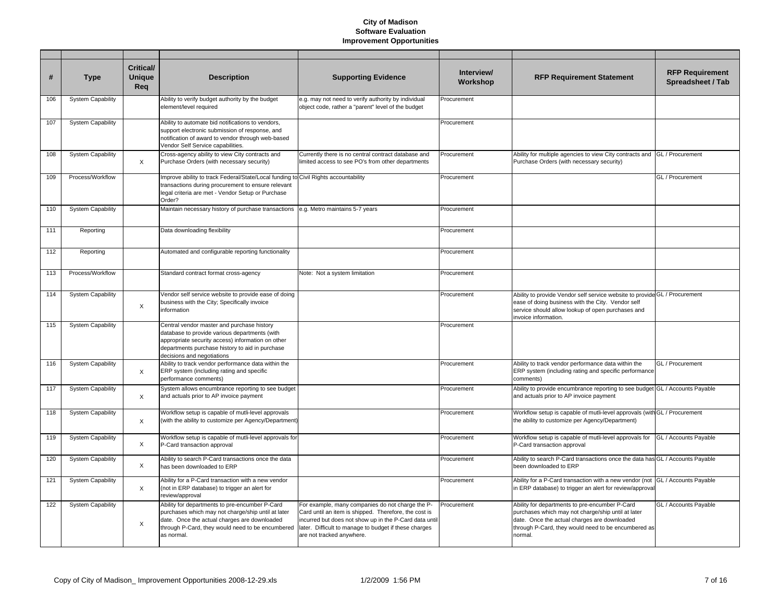| #   | <b>Type</b>              | <b>Critical/</b><br><b>Unique</b><br>Rea | <b>Description</b>                                                                                                                                                                                                                | <b>Supporting Evidence</b>                                                                                                                                                                                                                                | Interview/<br>Workshop | <b>RFP Requirement Statement</b>                                                                                                                                                                                       | <b>RFP Requirement</b><br>Spreadsheet / Tab |
|-----|--------------------------|------------------------------------------|-----------------------------------------------------------------------------------------------------------------------------------------------------------------------------------------------------------------------------------|-----------------------------------------------------------------------------------------------------------------------------------------------------------------------------------------------------------------------------------------------------------|------------------------|------------------------------------------------------------------------------------------------------------------------------------------------------------------------------------------------------------------------|---------------------------------------------|
| 106 | <b>System Capability</b> |                                          | Ability to verify budget authority by the budget<br>element/level required                                                                                                                                                        | e.g. may not need to verify authority by individual<br>object code, rather a "parent" level of the budget                                                                                                                                                 | Procurement            |                                                                                                                                                                                                                        |                                             |
| 107 | <b>System Capability</b> |                                          | Ability to automate bid notifications to vendors,<br>support electronic submission of response, and<br>notification of award to vendor through web-based<br>Vendor Self Service capabilities.                                     |                                                                                                                                                                                                                                                           | Procurement            |                                                                                                                                                                                                                        |                                             |
| 108 | <b>System Capability</b> | X                                        | Cross-agency ability to view City contracts and<br>Purchase Orders (with necessary security)                                                                                                                                      | Currently there is no central contract database and<br>limited access to see PO's from other departments                                                                                                                                                  | Procurement            | Ability for multiple agencies to view City contracts and GL / Procurement<br>Purchase Orders (with necessary security)                                                                                                 |                                             |
| 109 | Process/Workflow         |                                          | Improve ability to track Federal/State/Local funding to<br>transactions during procurement to ensure relevant<br>legal criteria are met - Vendor Setup or Purchase<br>Order?                                                      | Civil Rights accountability                                                                                                                                                                                                                               | Procurement            |                                                                                                                                                                                                                        | GL / Procurement                            |
| 110 | <b>System Capability</b> |                                          | Maintain necessary history of purchase transactions                                                                                                                                                                               | e.g. Metro maintains 5-7 years                                                                                                                                                                                                                            | Procurement            |                                                                                                                                                                                                                        |                                             |
| 111 | Reporting                |                                          | Data downloading flexibility                                                                                                                                                                                                      |                                                                                                                                                                                                                                                           | Procurement            |                                                                                                                                                                                                                        |                                             |
| 112 | Reporting                |                                          | Automated and configurable reporting functionality                                                                                                                                                                                |                                                                                                                                                                                                                                                           | Procurement            |                                                                                                                                                                                                                        |                                             |
| 113 | Process/Workflow         |                                          | Standard contract format cross-agency                                                                                                                                                                                             | Note: Not a system limitation                                                                                                                                                                                                                             | Procurement            |                                                                                                                                                                                                                        |                                             |
| 114 | <b>System Capability</b> | X                                        | Vendor self service website to provide ease of doing<br>business with the City; Specifically invoice<br>information                                                                                                               |                                                                                                                                                                                                                                                           | Procurement            | Ability to provide Vendor self service website to provide GL / Procurement<br>ease of doing business with the City. Vendor self<br>service should allow lookup of open purchases and<br>invoice information.           |                                             |
| 115 | <b>System Capability</b> |                                          | Central vendor master and purchase history<br>database to provide various departments (with<br>appropriate security access) information on other<br>departments purchase history to aid in purchase<br>decisions and negotiations |                                                                                                                                                                                                                                                           | Procurement            |                                                                                                                                                                                                                        |                                             |
| 116 | <b>System Capability</b> | X                                        | Ability to track vendor performance data within the<br>ERP system (including rating and specific<br>performance comments)                                                                                                         |                                                                                                                                                                                                                                                           | Procurement            | Ability to track vendor performance data within the<br>ERP system (including rating and specific performance<br>comments)                                                                                              | GL / Procurement                            |
| 117 | <b>System Capability</b> | X                                        | System allows encumbrance reporting to see budget<br>and actuals prior to AP invoice payment                                                                                                                                      |                                                                                                                                                                                                                                                           | Procurement            | Ability to provide encumbrance reporting to see budget GL / Accounts Payable<br>and actuals prior to AP invoice payment                                                                                                |                                             |
| 118 | <b>System Capability</b> | $\times$                                 | Workflow setup is capable of mutli-level approvals<br>(with the ability to customize per Agency/Department)                                                                                                                       |                                                                                                                                                                                                                                                           | Procurement            | Workflow setup is capable of mutli-level approvals (with GL / Procurement<br>the ability to customize per Agency/Department)                                                                                           |                                             |
| 119 | <b>System Capability</b> | X                                        | Workflow setup is capable of mutli-level approvals for<br>P-Card transaction approval                                                                                                                                             |                                                                                                                                                                                                                                                           | Procurement            | Workflow setup is capable of mutli-level approvals for<br>P-Card transaction approval                                                                                                                                  | GL / Accounts Payable                       |
| 120 | <b>System Capability</b> | X                                        | Ability to search P-Card transactions once the data<br>has been downloaded to ERP                                                                                                                                                 |                                                                                                                                                                                                                                                           | Procurement            | Ability to search P-Card transactions once the data has GL / Accounts Payable<br>been downloaded to ERP                                                                                                                |                                             |
| 121 | <b>System Capability</b> | $\times$                                 | Ability for a P-Card transaction with a new vendor<br>(not in ERP database) to trigger an alert for<br>review/approval                                                                                                            |                                                                                                                                                                                                                                                           | Procurement            | Ability for a P-Card transaction with a new vendor (not GL / Accounts Payable<br>in ERP database) to trigger an alert for review/approval                                                                              |                                             |
| 122 | <b>System Capability</b> | X                                        | Ability for departments to pre-encumber P-Card<br>purchases which may not charge/ship until at later<br>date. Once the actual charges are downloaded<br>through P-Card, they would need to be encumbered<br>as normal.            | For example, many companies do not charge the P-<br>Card until an item is shipped. Therefore, the cost is<br>incurred but does not show up in the P-Card data until<br>later. Difficult to manage to budget if these charges<br>are not tracked anywhere. | Procurement            | Ability for departments to pre-encumber P-Card<br>purchases which may not charge/ship until at later<br>date. Once the actual charges are downloaded<br>through P-Card, they would need to be encumbered as<br>normal. | GL / Accounts Payable                       |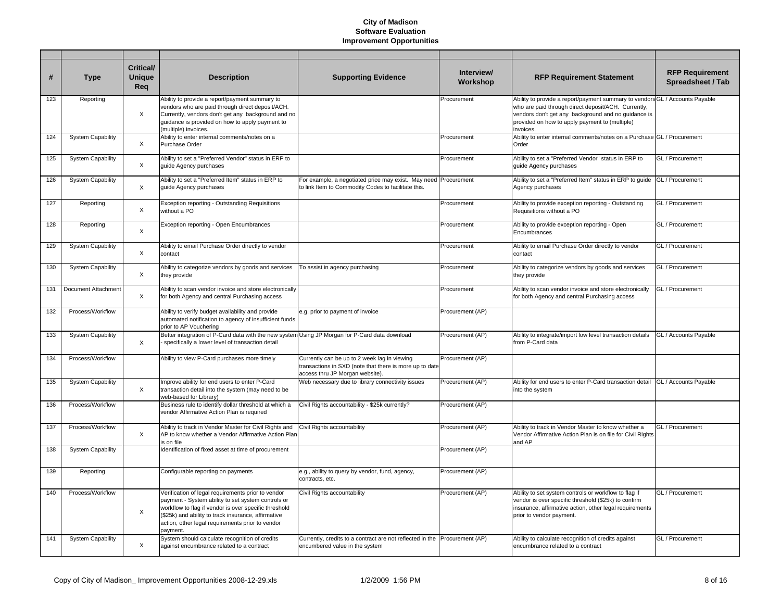| #   | <b>Type</b>              | <b>Critical/</b><br><b>Unique</b><br>Reg | <b>Description</b>                                                                                                                                                                                                                                                                       | <b>Supporting Evidence</b>                                                                                                                 | Interview/<br>Workshop | <b>RFP Requirement Statement</b>                                                                                                                                                                                                                          | <b>RFP Requirement</b><br>Spreadsheet / Tab |
|-----|--------------------------|------------------------------------------|------------------------------------------------------------------------------------------------------------------------------------------------------------------------------------------------------------------------------------------------------------------------------------------|--------------------------------------------------------------------------------------------------------------------------------------------|------------------------|-----------------------------------------------------------------------------------------------------------------------------------------------------------------------------------------------------------------------------------------------------------|---------------------------------------------|
| 123 | Reporting                | $\times$                                 | Ability to provide a report/payment summary to<br>vendors who are paid through direct deposit/ACH.<br>Currently, vendors don't get any background and no<br>guidance is provided on how to apply payment to<br>(multiple) invoices.                                                      |                                                                                                                                            | Procurement            | Ability to provide a report/payment summary to vendors GL / Accounts Payable<br>who are paid through direct deposit/ACH. Currently,<br>vendors don't get any background and no guidance is<br>provided on how to apply payment to (multiple)<br>invoices. |                                             |
| 124 | <b>System Capability</b> | X                                        | Ability to enter internal comments/notes on a<br>Purchase Order                                                                                                                                                                                                                          |                                                                                                                                            | Procurement            | Ability to enter internal comments/notes on a Purchase GL / Procurement<br>Order                                                                                                                                                                          |                                             |
| 125 | <b>System Capability</b> | X                                        | Ability to set a "Preferred Vendor" status in ERP to<br>guide Agency purchases                                                                                                                                                                                                           |                                                                                                                                            | Procurement            | Ability to set a "Preferred Vendor" status in ERP to<br>guide Agency purchases                                                                                                                                                                            | GL / Procurement                            |
| 126 | <b>System Capability</b> | X                                        | Ability to set a "Preferred Item" status in ERP to<br>quide Agency purchases                                                                                                                                                                                                             | For example, a negotiated price may exist. May need<br>to link Item to Commodity Codes to facilitate this.                                 | Procurement            | Ability to set a "Preferred Item" status in ERP to guide<br>Agency purchases                                                                                                                                                                              | GL / Procurement                            |
| 127 | Reporting                | $\times$                                 | Exception reporting - Outstanding Requisitions<br>without a PO                                                                                                                                                                                                                           |                                                                                                                                            | Procurement            | Ability to provide exception reporting - Outstanding<br>Requisitions without a PO                                                                                                                                                                         | GL / Procurement                            |
| 128 | Reporting                | X                                        | Exception reporting - Open Encumbrances                                                                                                                                                                                                                                                  |                                                                                                                                            | Procurement            | Ability to provide exception reporting - Open<br>Encumbrances                                                                                                                                                                                             | GL / Procurement                            |
| 129 | <b>System Capability</b> | X                                        | Ability to email Purchase Order directly to vendor<br>contact                                                                                                                                                                                                                            |                                                                                                                                            | Procurement            | Ability to email Purchase Order directly to vendor<br>contact                                                                                                                                                                                             | GL / Procurement                            |
| 130 | <b>System Capability</b> | X                                        | Ability to categorize vendors by goods and services<br>they provide                                                                                                                                                                                                                      | To assist in agency purchasing                                                                                                             | Procurement            | Ability to categorize vendors by goods and services<br>they provide                                                                                                                                                                                       | GL / Procurement                            |
| 131 | Document Attachment      | X                                        | Ability to scan vendor invoice and store electronically<br>for both Agency and central Purchasing access                                                                                                                                                                                 |                                                                                                                                            | Procurement            | Ability to scan vendor invoice and store electronically<br>for both Agency and central Purchasing access                                                                                                                                                  | GL / Procurement                            |
| 132 | Process/Workflow         |                                          | Ability to verify budget availability and provide<br>automated notification to agency of insufficient funds<br>prior to AP Vouchering                                                                                                                                                    | e.g. prior to payment of invoice                                                                                                           | Procurement (AP)       |                                                                                                                                                                                                                                                           |                                             |
| 133 | <b>System Capability</b> | X                                        | Better integration of P-Card data with the new system Using JP Morgan for P-Card data download<br>specifically a lower level of transaction detail                                                                                                                                       |                                                                                                                                            | Procurement (AP)       | Ability to integrate/import low level transaction details<br>from P-Card data                                                                                                                                                                             | GL / Accounts Payable                       |
| 134 | Process/Workflow         |                                          | Ability to view P-Card purchases more timely                                                                                                                                                                                                                                             | Currently can be up to 2 week lag in viewing<br>transactions in SXD (note that there is more up to date<br>access thru JP Morgan website). | Procurement (AP)       |                                                                                                                                                                                                                                                           |                                             |
| 135 | <b>System Capability</b> | X                                        | Improve ability for end users to enter P-Card<br>transaction detail into the system (may need to be<br>web-based for Library)                                                                                                                                                            | Web necessary due to library connectivity issues                                                                                           | Procurement (AP)       | Ability for end users to enter P-Card transaction detail<br>into the system                                                                                                                                                                               | GL / Accounts Pavable                       |
| 136 | Process/Workflow         |                                          | Business rule to identify dollar threshold at which a<br>vendor Affirmative Action Plan is required                                                                                                                                                                                      | Civil Rights accountability - \$25k currently?                                                                                             | Procurement (AP)       |                                                                                                                                                                                                                                                           |                                             |
| 137 | Process/Workflow         | $\times$                                 | Ability to track in Vendor Master for Civil Rights and Civil Rights accountability<br>AP to know whether a Vendor Affirmative Action Plar<br>is on file                                                                                                                                  |                                                                                                                                            | Procurement (AP)       | Ability to track in Vendor Master to know whether a<br>Vendor Affirmative Action Plan is on file for Civil Rights<br>and AP                                                                                                                               | GL / Procurement                            |
| 138 | <b>System Capability</b> |                                          | Identification of fixed asset at time of procurement                                                                                                                                                                                                                                     |                                                                                                                                            | Procurement (AP)       |                                                                                                                                                                                                                                                           |                                             |
| 139 | Reporting                |                                          | Configurable reporting on payments                                                                                                                                                                                                                                                       | e.g., ability to query by vendor, fund, agency,<br>contracts, etc.                                                                         | Procurement (AP)       |                                                                                                                                                                                                                                                           |                                             |
| 140 | Process/Workflow         | X                                        | Verification of legal requirements prior to vendor<br>payment - System ability to set system controls or<br>workflow to flag if vendor is over specific threshold<br>(\$25k) and ability to track insurance, affirmative<br>action, other legal requirements prior to vendor<br>payment. | Civil Rights accountability                                                                                                                | Procurement (AP)       | Ability to set system controls or workflow to flag if<br>vendor is over specific threshold (\$25k) to confirm<br>insurance, affirmative action, other legal requirements<br>prior to vendor payment.                                                      | GL / Procurement                            |
| 141 | <b>System Capability</b> | X                                        | System should calculate recognition of credits<br>against encumbrance related to a contract                                                                                                                                                                                              | Currently, credits to a contract are not reflected in the Procurement (AP)<br>encumbered value in the system                               |                        | Ability to calculate recognition of credits against<br>encumbrance related to a contract                                                                                                                                                                  | GL / Procurement                            |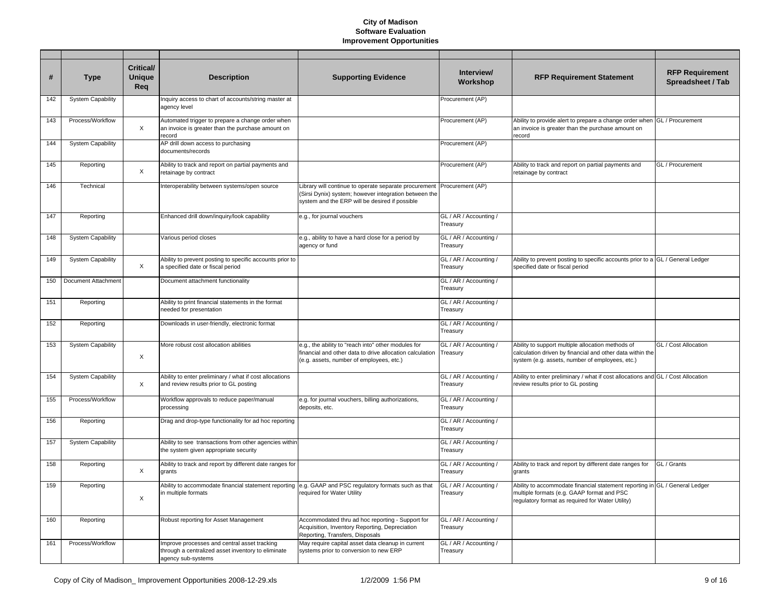| #   | <b>Type</b>              | Critical/<br><b>Unique</b><br>Req | <b>Description</b>                                                                                                            | <b>Supporting Evidence</b>                                                                                                                                       | Interview/<br>Workshop             | <b>RFP Requirement Statement</b>                                                                                                                                              | <b>RFP Requirement</b><br>Spreadsheet / Tab |
|-----|--------------------------|-----------------------------------|-------------------------------------------------------------------------------------------------------------------------------|------------------------------------------------------------------------------------------------------------------------------------------------------------------|------------------------------------|-------------------------------------------------------------------------------------------------------------------------------------------------------------------------------|---------------------------------------------|
| 142 | <b>System Capability</b> |                                   | Inquiry access to chart of accounts/string master at<br>agency level                                                          |                                                                                                                                                                  | Procurement (AP)                   |                                                                                                                                                                               |                                             |
| 143 | Process/Workflow         | $\boldsymbol{\mathsf{X}}$         | Automated trigger to prepare a change order when<br>an invoice is greater than the purchase amount on<br>record               |                                                                                                                                                                  | Procurement (AP)                   | Ability to provide alert to prepare a change order when GL / Procurement<br>an invoice is greater than the purchase amount on<br>record                                       |                                             |
| 144 | <b>System Capability</b> |                                   | AP drill down access to purchasing<br>documents/records                                                                       |                                                                                                                                                                  | Procurement (AP)                   |                                                                                                                                                                               |                                             |
| 145 | Reporting                | X                                 | Ability to track and report on partial payments and<br>retainage by contract                                                  |                                                                                                                                                                  | Procurement (AP)                   | Ability to track and report on partial payments and<br>retainage by contract                                                                                                  | GL / Procurement                            |
| 146 | Technical                |                                   | Interoperability between systems/open source                                                                                  | Library will continue to operate separate procurement<br>(Sirsi Dynix) system; however integration between the<br>system and the ERP will be desired if possible | Procurement (AP)                   |                                                                                                                                                                               |                                             |
| 147 | Reporting                |                                   | Enhanced drill down/inquiry/look capability                                                                                   | e.g., for journal vouchers                                                                                                                                       | GL / AR / Accounting /<br>Treasury |                                                                                                                                                                               |                                             |
| 148 | <b>System Capability</b> |                                   | Various period closes                                                                                                         | e.g., ability to have a hard close for a period by<br>agency or fund                                                                                             | GL / AR / Accounting /<br>Treasury |                                                                                                                                                                               |                                             |
| 149 | <b>System Capability</b> | $\times$                          | Ability to prevent posting to specific accounts prior to<br>a specified date or fiscal period                                 |                                                                                                                                                                  | GL / AR / Accounting /<br>Treasury | Ability to prevent posting to specific accounts prior to a GL / General Ledger<br>specified date or fiscal period                                                             |                                             |
| 150 | Document Attachment      |                                   | Document attachment functionality                                                                                             |                                                                                                                                                                  | GL / AR / Accounting /<br>Treasury |                                                                                                                                                                               |                                             |
| 151 | Reporting                |                                   | Ability to print financial statements in the format<br>needed for presentation                                                |                                                                                                                                                                  | GL / AR / Accounting /<br>Treasury |                                                                                                                                                                               |                                             |
| 152 | Reporting                |                                   | Downloads in user-friendly, electronic format                                                                                 |                                                                                                                                                                  | GL / AR / Accounting /<br>Treasury |                                                                                                                                                                               |                                             |
| 153 | <b>System Capability</b> | X                                 | More robust cost allocation abilities                                                                                         | e.g., the ability to "reach into" other modules for<br>financial and other data to drive allocation calculation<br>(e.g. assets, number of employees, etc.)      | GL / AR / Accounting /<br>Treasury | Ability to support multiple allocation methods of<br>calculation driven by financial and other data within the<br>system (e.g. assets, number of employees, etc.)             | GL / Cost Allocation                        |
| 154 | <b>System Capability</b> | X                                 | Ability to enter preliminary / what if cost allocations<br>and review results prior to GL posting                             |                                                                                                                                                                  | GL / AR / Accounting /<br>Treasury | Ability to enter preliminary / what if cost allocations and GL / Cost Allocation<br>review results prior to GL posting                                                        |                                             |
| 155 | Process/Workflow         |                                   | Workflow approvals to reduce paper/manual<br>processing                                                                       | e.g. for journal vouchers, billing authorizations,<br>deposits, etc.                                                                                             | GL / AR / Accounting /<br>Treasury |                                                                                                                                                                               |                                             |
| 156 | Reporting                |                                   | Drag and drop-type functionality for ad hoc reporting                                                                         |                                                                                                                                                                  | GL / AR / Accounting /<br>Treasury |                                                                                                                                                                               |                                             |
| 157 | <b>System Capability</b> |                                   | Ability to see transactions from other agencies within<br>the system given appropriate security                               |                                                                                                                                                                  | GL / AR / Accounting /<br>Treasury |                                                                                                                                                                               |                                             |
| 158 | Reporting                | X                                 | Ability to track and report by different date ranges for<br>grants                                                            |                                                                                                                                                                  | GL / AR / Accounting /<br>Treasury | Ability to track and report by different date ranges for<br>grants                                                                                                            | GL / Grants                                 |
| 159 | Reporting                | $\boldsymbol{\mathsf{X}}$         | Ability to accommodate financial statement reporting e.g. GAAP and PSC regulatory formats such as that<br>in multiple formats | required for Water Utility                                                                                                                                       | GL / AR / Accounting /<br>Treasury | Ability to accommodate financial statement reporting in GL / General Ledger<br>multiple formats (e.g. GAAP format and PSC<br>regulatory format as required for Water Utility) |                                             |
| 160 | Reporting                |                                   | Robust reporting for Asset Management                                                                                         | Accommodated thru ad hoc reporting - Support for<br>Acquisition, Inventory Reporting, Depreciation<br>Reporting, Transfers, Disposals                            | GL / AR / Accounting /<br>Treasury |                                                                                                                                                                               |                                             |
| 161 | Process/Workflow         |                                   | Improve processes and central asset tracking<br>through a centralized asset inventory to eliminate<br>agency sub-systems      | May require capital asset data cleanup in current<br>systems prior to conversion to new ERP                                                                      | GL / AR / Accounting /<br>Treasury |                                                                                                                                                                               |                                             |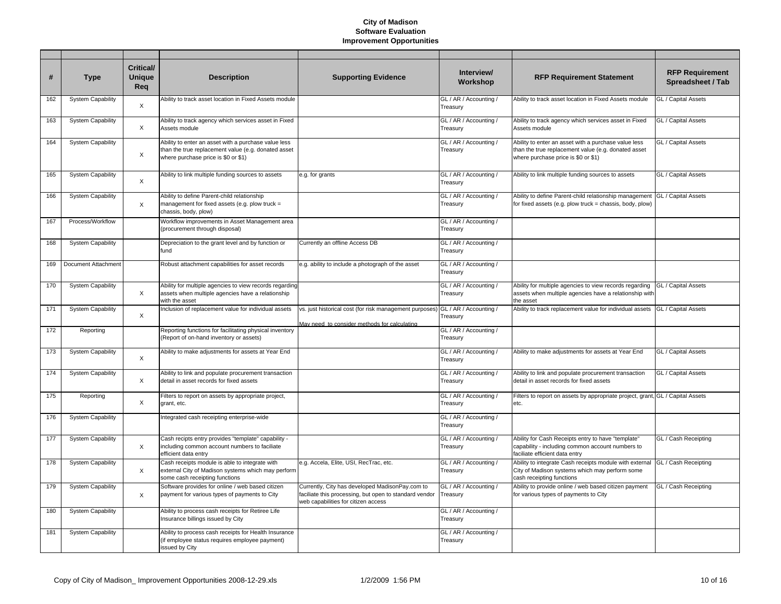| #   | <b>Type</b>              | <b>Critical/</b><br><b>Unique</b><br>Req | <b>Description</b>                                                                                                                                 | <b>Supporting Evidence</b>                                                                                                                       | Interview/<br>Workshop             | <b>RFP Requirement Statement</b>                                                                                                                   | <b>RFP Requirement</b><br><b>Spreadsheet / Tab</b> |
|-----|--------------------------|------------------------------------------|----------------------------------------------------------------------------------------------------------------------------------------------------|--------------------------------------------------------------------------------------------------------------------------------------------------|------------------------------------|----------------------------------------------------------------------------------------------------------------------------------------------------|----------------------------------------------------|
| 162 | <b>System Capability</b> | $\boldsymbol{\mathsf{X}}$                | Ability to track asset location in Fixed Assets module                                                                                             |                                                                                                                                                  | GL / AR / Accounting /<br>Treasury | Ability to track asset location in Fixed Assets module                                                                                             | GL / Capital Assets                                |
| 163 | <b>System Capability</b> | X                                        | Ability to track agency which services asset in Fixed<br>Assets module                                                                             |                                                                                                                                                  | GL / AR / Accounting /<br>Treasury | Ability to track agency which services asset in Fixed<br>Assets module                                                                             | GL / Capital Assets                                |
| 164 | <b>System Capability</b> | X                                        | Ability to enter an asset with a purchase value less<br>than the true replacement value (e.g. donated asset<br>where purchase price is \$0 or \$1) |                                                                                                                                                  | GL / AR / Accounting /<br>Treasury | Ability to enter an asset with a purchase value less<br>than the true replacement value (e.g. donated asset<br>where purchase price is \$0 or \$1) | GL / Capital Assets                                |
| 165 | <b>System Capability</b> | $\times$                                 | Ability to link multiple funding sources to assets                                                                                                 | e.g. for grants                                                                                                                                  | GL / AR / Accounting /<br>Treasury | Ability to link multiple funding sources to assets                                                                                                 | GL / Capital Assets                                |
| 166 | <b>System Capability</b> | $\times$                                 | Ability to define Parent-child relationship<br>management for fixed assets (e.g. plow truck =<br>chassis, body, plow)                              |                                                                                                                                                  | GL / AR / Accounting /<br>Treasury | Ability to define Parent-child relationship management<br>for fixed assets (e.g. plow truck = chassis, body, plow)                                 | GL / Capital Assets                                |
| 167 | Process/Workflow         |                                          | Workflow improvements in Asset Management area<br>(procurement through disposal)                                                                   |                                                                                                                                                  | GL / AR / Accounting /<br>Treasury |                                                                                                                                                    |                                                    |
| 168 | <b>System Capability</b> |                                          | Depreciation to the grant level and by function or<br>fund                                                                                         | Currently an offline Access DB                                                                                                                   | GL / AR / Accounting /<br>Treasury |                                                                                                                                                    |                                                    |
| 169 | Document Attachment      |                                          | Robust attachment capabilities for asset records                                                                                                   | e.g. ability to include a photograph of the asset                                                                                                | GL / AR / Accounting /<br>Treasury |                                                                                                                                                    |                                                    |
| 170 | <b>System Capability</b> | X                                        | Ability for multiple agencies to view records regarding<br>assets when multiple agencies have a relationship<br>with the asset                     |                                                                                                                                                  | GL / AR / Accounting /<br>Treasury | Ability for multiple agencies to view records regarding<br>assets when multiple agencies have a relationship with<br>the asset                     | GL / Capital Assets                                |
| 171 | <b>System Capability</b> | $\times$                                 | Inclusion of replacement value for individual assets                                                                                               | vs. just historical cost (for risk management purposes)<br>May need to consider methods for calculating                                          | GL / AR / Accounting /<br>Treasury | Ability to track replacement value for individual assets                                                                                           | GL / Capital Assets                                |
| 172 | Reporting                |                                          | Reporting functions for facilitating physical inventory<br>(Report of on-hand inventory or assets)                                                 |                                                                                                                                                  | GL / AR / Accounting /<br>Treasury |                                                                                                                                                    |                                                    |
| 173 | <b>System Capability</b> | X                                        | Ability to make adjustments for assets at Year End                                                                                                 |                                                                                                                                                  | GL / AR / Accounting /<br>Treasury | Ability to make adjustments for assets at Year End                                                                                                 | GL / Capital Assets                                |
| 174 | <b>System Capability</b> | X                                        | Ability to link and populate procurement transaction<br>detail in asset records for fixed assets                                                   |                                                                                                                                                  | GL / AR / Accounting /<br>Treasury | Ability to link and populate procurement transaction<br>detail in asset records for fixed assets                                                   | GL / Capital Assets                                |
| 175 | Reporting                | X                                        | Filters to report on assets by appropriate project,<br>grant, etc.                                                                                 |                                                                                                                                                  | GL / AR / Accounting /<br>Treasury | Filters to report on assets by appropriate project, grant, GL / Capital Assets<br>etc.                                                             |                                                    |
| 176 | <b>System Capability</b> |                                          | Integrated cash receipting enterprise-wide                                                                                                         |                                                                                                                                                  | GL / AR / Accounting /<br>Treasury |                                                                                                                                                    |                                                    |
| 177 | <b>System Capability</b> | $\times$                                 | Cash recipts entry provides "template" capability -<br>including common account numbers to faciliate<br>efficient data entry                       |                                                                                                                                                  | GL / AR / Accounting /<br>Treasury | Ability for Cash Receipts entry to have "template"<br>capability - including common account numbers to<br>faciliate efficient data entrv           | GL / Cash Receipting                               |
| 178 | <b>System Capability</b> | X                                        | Cash receipts module is able to integrate with<br>external City of Madison systems which may perform<br>some cash receipting functions             | e.g. Accela, Elite, USI, RecTrac, etc.                                                                                                           | GL / AR / Accounting /<br>Treasury | Ability to integrate Cash receipts module with external<br>City of Madison systems which may perform some<br>cash receipting functions             | GL / Cash Receipting                               |
| 179 | <b>System Capability</b> | X                                        | Software provides for online / web based citizen<br>payment for various types of payments to City                                                  | Currently, City has developed MadisonPay.com to<br>faciliate this processing, but open to standard vendor<br>web capabilities for citizen access | GL / AR / Accounting /<br>Treasury | Ability to provide online / web based citizen payment<br>for various types of payments to City                                                     | GL / Cash Receipting                               |
| 180 | <b>System Capability</b> |                                          | Ability to process cash receipts for Retiree Life<br>Insurance billings issued by City                                                             |                                                                                                                                                  | GL / AR / Accounting /<br>Treasury |                                                                                                                                                    |                                                    |
| 181 | <b>System Capability</b> |                                          | Ability to process cash receipts for Health Insurance<br>(if employee status requires employee payment)<br>issued by City                          |                                                                                                                                                  | GL / AR / Accounting /<br>Treasury |                                                                                                                                                    |                                                    |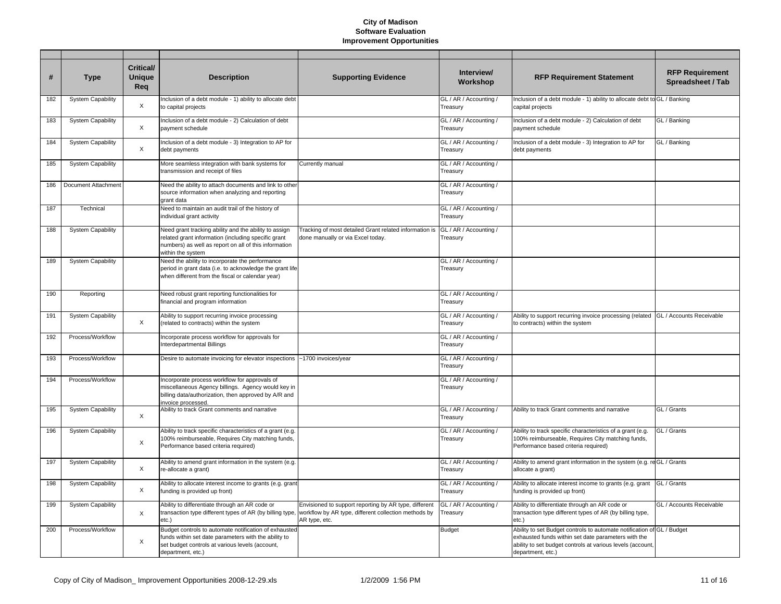| #   | <b>Type</b>              | Critical/<br><b>Unique</b><br>Req | <b>Description</b>                                                                                                                                                                         | <b>Supporting Evidence</b>                                                                                                     | Interview/<br>Workshop             | <b>RFP Requirement Statement</b>                                                                                                                                                                                 | <b>RFP Requirement</b><br>Spreadsheet / Tab |
|-----|--------------------------|-----------------------------------|--------------------------------------------------------------------------------------------------------------------------------------------------------------------------------------------|--------------------------------------------------------------------------------------------------------------------------------|------------------------------------|------------------------------------------------------------------------------------------------------------------------------------------------------------------------------------------------------------------|---------------------------------------------|
| 182 | <b>System Capability</b> | X                                 | Inclusion of a debt module - 1) ability to allocate debt<br>to capital projects                                                                                                            |                                                                                                                                | GL / AR / Accounting /<br>Treasury | Inclusion of a debt module - 1) ability to allocate debt to GL / Banking<br>capital projects                                                                                                                     |                                             |
| 183 | <b>System Capability</b> | X                                 | Inclusion of a debt module - 2) Calculation of debt<br>payment schedule                                                                                                                    |                                                                                                                                | GL / AR / Accounting /<br>Treasury | Inclusion of a debt module - 2) Calculation of debt<br>payment schedule                                                                                                                                          | GL / Banking                                |
| 184 | <b>System Capability</b> | X                                 | Inclusion of a debt module - 3) Integration to AP for<br>debt payments                                                                                                                     |                                                                                                                                | GL / AR / Accounting /<br>Treasury | Inclusion of a debt module - 3) Integration to AP for<br>debt payments                                                                                                                                           | GL / Banking                                |
| 185 | <b>System Capability</b> |                                   | More seamless integration with bank systems for<br>transmission and receipt of files                                                                                                       | Currently manual                                                                                                               | GL / AR / Accounting /<br>Treasury |                                                                                                                                                                                                                  |                                             |
| 186 | Document Attachment      |                                   | Need the ability to attach documents and link to other<br>source information when analyzing and reporting<br>grant data                                                                    |                                                                                                                                | GL / AR / Accounting /<br>Treasury |                                                                                                                                                                                                                  |                                             |
| 187 | Technical                |                                   | Need to maintain an audit trail of the history of<br>individual grant activity                                                                                                             |                                                                                                                                | GL / AR / Accounting /<br>Treasury |                                                                                                                                                                                                                  |                                             |
| 188 | <b>System Capability</b> |                                   | Need grant tracking ability and the ability to assign<br>related grant information (including specific grant<br>numbers) as well as report on all of this information<br>within the system | Tracking of most detailed Grant related information is<br>done manually or via Excel today.                                    | GL / AR / Accounting /<br>Treasury |                                                                                                                                                                                                                  |                                             |
| 189 | <b>System Capability</b> |                                   | Need the ability to incorporate the performance<br>period in grant data (i.e. to acknowledge the grant life<br>when different from the fiscal or calendar year)                            |                                                                                                                                | GL / AR / Accounting /<br>Treasury |                                                                                                                                                                                                                  |                                             |
| 190 | Reporting                |                                   | Need robust grant reporting functionalities for<br>financial and program information                                                                                                       |                                                                                                                                | GL / AR / Accounting /<br>Treasury |                                                                                                                                                                                                                  |                                             |
| 191 | <b>System Capability</b> | $\times$                          | Ability to support recurring invoice processing<br>(related to contracts) within the system                                                                                                |                                                                                                                                | GL / AR / Accounting /<br>Treasury | Ability to support recurring invoice processing (related GL / Accounts Receivable<br>to contracts) within the system                                                                                             |                                             |
| 192 | Process/Workflow         |                                   | Incorporate process workflow for approvals for<br>Interdepartmental Billings                                                                                                               |                                                                                                                                | GL / AR / Accounting /<br>Treasury |                                                                                                                                                                                                                  |                                             |
| 193 | Process/Workflow         |                                   | Desire to automate invoicing for elevator inspections                                                                                                                                      | ~1700 invoices/year                                                                                                            | GL / AR / Accounting /<br>Treasury |                                                                                                                                                                                                                  |                                             |
| 194 | Process/Workflow         |                                   | Incorporate process workflow for approvals of<br>miscellaneous Agency billings. Agency would key in<br>billing data/authorization, then approved by A/R and<br>invoice processed.          |                                                                                                                                | GL / AR / Accounting /<br>Treasury |                                                                                                                                                                                                                  |                                             |
| 195 | <b>System Capability</b> | X                                 | Ability to track Grant comments and narrative                                                                                                                                              |                                                                                                                                | GL / AR / Accounting /<br>Treasury | Ability to track Grant comments and narrative                                                                                                                                                                    | GL / Grants                                 |
| 196 | <b>System Capability</b> | X                                 | Ability to track specific characteristics of a grant (e.g.<br>100% reimburseable, Requires City matching funds,<br>Performance based criteria required)                                    |                                                                                                                                | GL / AR / Accounting /<br>Treasury | Ability to track specific characteristics of a grant (e.g.<br>100% reimburseable, Requires City matching funds,<br>Performance based criteria required)                                                          | GL / Grants                                 |
| 197 | <b>System Capability</b> | X                                 | Ability to amend grant information in the system (e.g.<br>re-allocate a grant)                                                                                                             |                                                                                                                                | GL / AR / Accounting /<br>Treasury | Ability to amend grant information in the system (e.g. reGL / Grants<br>allocate a grant)                                                                                                                        |                                             |
| 198 | <b>System Capability</b> | X                                 | Ability to allocate interest income to grants (e.g. grant<br>funding is provided up front)                                                                                                 |                                                                                                                                | GL / AR / Accounting /<br>Treasury | Ability to allocate interest income to grants (e.g. grant<br>funding is provided up front)                                                                                                                       | GL / Grants                                 |
| 199 | <b>System Capability</b> | $\boldsymbol{\mathsf{X}}$         | Ability to differentiate through an AR code or<br>transaction type different types of AR (by billing type,<br>etc.)                                                                        | Envisioned to support reporting by AR type, different<br>workflow by AR type, different collection methods by<br>AR type, etc. | GL / AR / Accounting /<br>Treasury | Ability to differentiate through an AR code or<br>transaction type different types of AR (by billing type,<br>etc.)                                                                                              | GL / Accounts Receivable                    |
| 200 | Process/Workflow         | X                                 | Budget controls to automate notification of exhausted<br>funds within set date parameters with the ability to<br>set budget controls at various levels (account,<br>department, etc.)      |                                                                                                                                | <b>Budget</b>                      | Ability to set Budget controls to automate notification of GL / Budget<br>exhausted funds within set date parameters with the<br>ability to set budget controls at various levels (account,<br>department, etc.) |                                             |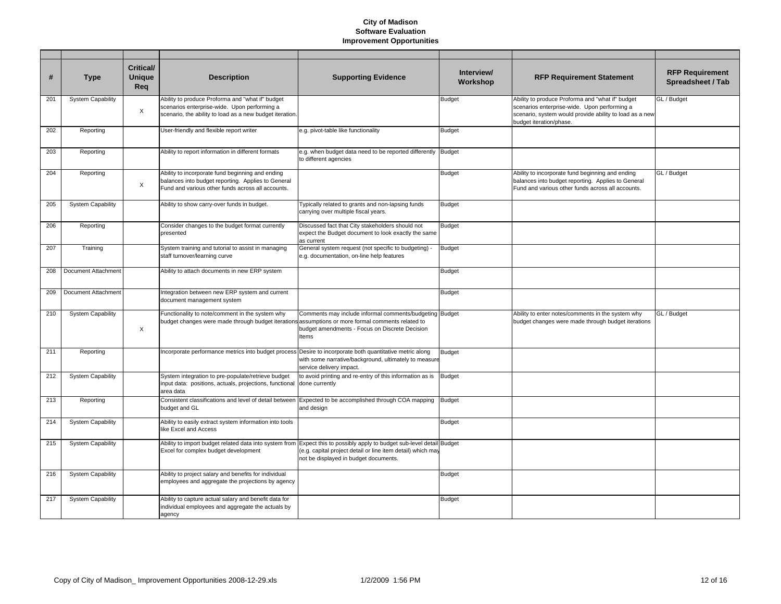| #   | <b>Type</b>              | Critical/<br><b>Unique</b><br>Req | <b>Description</b>                                                                                                                                           | <b>Supporting Evidence</b>                                                                                                                                              | Interview/<br>Workshop | <b>RFP Requirement Statement</b>                                                                                                                                                       | <b>RFP Requirement</b><br>Spreadsheet / Tab |
|-----|--------------------------|-----------------------------------|--------------------------------------------------------------------------------------------------------------------------------------------------------------|-------------------------------------------------------------------------------------------------------------------------------------------------------------------------|------------------------|----------------------------------------------------------------------------------------------------------------------------------------------------------------------------------------|---------------------------------------------|
| 201 | <b>System Capability</b> | $\times$                          | Ability to produce Proforma and "what if" budget<br>scenarios enterprise-wide. Upon performing a<br>scenario, the ability to load as a new budget iteration. |                                                                                                                                                                         | <b>Budget</b>          | Ability to produce Proforma and "what if" budget<br>scenarios enterprise-wide. Upon performing a<br>scenario, system would provide ability to load as a new<br>budget iteration/phase. | GL / Budget                                 |
| 202 | Reporting                |                                   | User-friendly and flexible report writer                                                                                                                     | e.g. pivot-table like functionality                                                                                                                                     | <b>Budget</b>          |                                                                                                                                                                                        |                                             |
| 203 | Reporting                |                                   | Ability to report information in different formats                                                                                                           | e.g. when budget data need to be reported differently Budget<br>to different agencies                                                                                   |                        |                                                                                                                                                                                        |                                             |
| 204 | Reporting                | $\times$                          | Ability to incorporate fund beginning and ending<br>balances into budget reporting. Applies to General<br>Fund and various other funds across all accounts.  |                                                                                                                                                                         | <b>Budget</b>          | Ability to incorporate fund beginning and ending<br>balances into budget reporting. Applies to General<br>Fund and various other funds across all accounts.                            | GL / Budget                                 |
| 205 | <b>System Capability</b> |                                   | Ability to show carry-over funds in budget.                                                                                                                  | Typically related to grants and non-lapsing funds<br>carrying over multiple fiscal years.                                                                               | <b>Budget</b>          |                                                                                                                                                                                        |                                             |
| 206 | Reporting                |                                   | Consider changes to the budget format currently<br>presented                                                                                                 | Discussed fact that City stakeholders should not<br>expect the Budget document to look exactly the same<br>as current                                                   | <b>Budget</b>          |                                                                                                                                                                                        |                                             |
| 207 | Training                 |                                   | System training and tutorial to assist in managing<br>staff turnover/learning curve                                                                          | General system request (not specific to budgeting) -<br>e.g. documentation, on-line help features                                                                       | <b>Budget</b>          |                                                                                                                                                                                        |                                             |
| 208 | Document Attachment      |                                   | Ability to attach documents in new ERP system                                                                                                                |                                                                                                                                                                         | <b>Budget</b>          |                                                                                                                                                                                        |                                             |
| 209 | Document Attachment      |                                   | Integration between new ERP system and current<br>document management system                                                                                 |                                                                                                                                                                         | <b>Budget</b>          |                                                                                                                                                                                        |                                             |
| 210 | <b>System Capability</b> | $\times$                          | Functionality to note/comment in the system why<br>budget changes were made through budget iterations assumptions or more formal comments related to         | Comments may include informal comments/budgeting Budget<br>budget amendments - Focus on Discrete Decision<br>Items                                                      |                        | Ability to enter notes/comments in the system why<br>budget changes were made through budget iterations                                                                                | GL / Budget                                 |
| 211 | Reporting                |                                   | Incorporate performance metrics into budget process Desire to incorporate both quantitative metric along                                                     | with some narrative/background, ultimately to measure<br>service delivery impact.                                                                                       | <b>Budget</b>          |                                                                                                                                                                                        |                                             |
| 212 | <b>System Capability</b> |                                   | System integration to pre-populate/retrieve budget<br>input data: positions, actuals, projections, functional<br>area data                                   | to avoid printing and re-entry of this information as is<br>done currently                                                                                              | <b>Budget</b>          |                                                                                                                                                                                        |                                             |
| 213 | Reporting                |                                   | Consistent classifications and level of detail between<br>budget and GL                                                                                      | Expected to be accomplished through COA mapping<br>and design                                                                                                           | <b>Budget</b>          |                                                                                                                                                                                        |                                             |
| 214 | <b>System Capability</b> |                                   | Ability to easily extract system information into tools<br>like Excel and Access                                                                             |                                                                                                                                                                         | <b>Budget</b>          |                                                                                                                                                                                        |                                             |
| 215 | <b>System Capability</b> |                                   | Ability to import budget related data into system from<br>Excel for complex budget development                                                               | Expect this to possibly apply to budget sub-level detail Budget<br>(e.g. capital project detail or line item detail) which may<br>not be displayed in budget documents. |                        |                                                                                                                                                                                        |                                             |
| 216 | <b>System Capability</b> |                                   | Ability to project salary and benefits for individual<br>employees and aggregate the projections by agency                                                   |                                                                                                                                                                         | <b>Budget</b>          |                                                                                                                                                                                        |                                             |
| 217 | <b>System Capability</b> |                                   | Ability to capture actual salary and benefit data for<br>individual employees and aggregate the actuals by<br>agency                                         |                                                                                                                                                                         | <b>Budget</b>          |                                                                                                                                                                                        |                                             |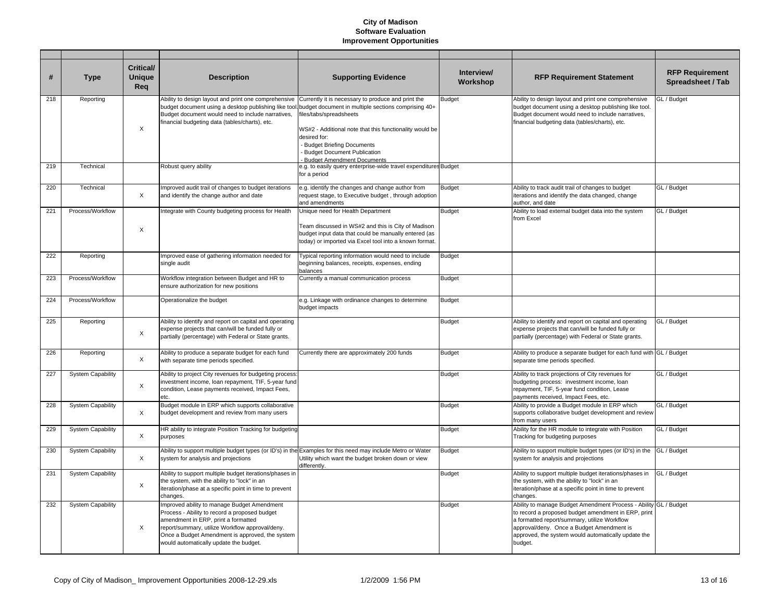| #   | <b>Type</b>              | <b>Critical/</b><br><b>Unique</b><br>Rea | <b>Description</b>                                                                                                                                                                                                                                                                  | <b>Supporting Evidence</b>                                                                                                                                                                                                                                                                                       | Interview/<br>Workshop | <b>RFP Requirement Statement</b>                                                                                                                                                                                                                                                       | <b>RFP Requirement</b><br>Spreadsheet / Tab |
|-----|--------------------------|------------------------------------------|-------------------------------------------------------------------------------------------------------------------------------------------------------------------------------------------------------------------------------------------------------------------------------------|------------------------------------------------------------------------------------------------------------------------------------------------------------------------------------------------------------------------------------------------------------------------------------------------------------------|------------------------|----------------------------------------------------------------------------------------------------------------------------------------------------------------------------------------------------------------------------------------------------------------------------------------|---------------------------------------------|
| 218 | Reporting                | $\times$                                 | Ability to design layout and print one comprehensive<br>budget document using a desktop publishing like tool<br>Budget document would need to include narratives,<br>financial budgeting data (tables/charts), etc.                                                                 | Currently it is necessary to produce and print the<br>budget document in multiple sections comprising 40+<br>files/tabs/spreadsheets<br>WS#2 - Additional note that this functionality would be<br>desired for:<br>Budget Briefing Documents<br>Budget Document Publication<br><b>Budget Amendment Documents</b> | <b>Budget</b>          | Ability to design layout and print one comprehensive<br>budget document using a desktop publishing like tool.<br>Budget document would need to include narratives,<br>financial budgeting data (tables/charts), etc.                                                                   | GL / Budget                                 |
| 219 | Technical                |                                          | Robust query ability                                                                                                                                                                                                                                                                | e.g. to easily query enterprise-wide travel expenditures Budget<br>for a period                                                                                                                                                                                                                                  |                        |                                                                                                                                                                                                                                                                                        |                                             |
| 220 | Technical                | $\times$                                 | Improved audit trail of changes to budget iterations<br>and identify the change author and date                                                                                                                                                                                     | e.g. identify the changes and change author from<br>request stage, to Executive budget, through adoption<br>and amendments                                                                                                                                                                                       | <b>Budget</b>          | Ability to track audit trail of changes to budget<br>iterations and identify the data changed, change<br>author, and date                                                                                                                                                              | GL / Budget                                 |
| 221 | Process/Workflow         | X                                        | Integrate with County budgeting process for Health                                                                                                                                                                                                                                  | Unique need for Health Department<br>Team discussed in WS#2 and this is City of Madison<br>budget input data that could be manually entered (as<br>today) or imported via Excel tool into a known format.                                                                                                        | <b>Budget</b>          | Ability to load external budget data into the system<br>from Excel                                                                                                                                                                                                                     | GL / Budget                                 |
| 222 | Reporting                |                                          | Improved ease of gathering information needed for<br>single audit                                                                                                                                                                                                                   | Typical reporting information would need to include<br>beginning balances, receipts, expenses, ending<br>balances                                                                                                                                                                                                | <b>Budget</b>          |                                                                                                                                                                                                                                                                                        |                                             |
| 223 | Process/Workflow         |                                          | Workflow integration between Budget and HR to<br>ensure authorization for new positions                                                                                                                                                                                             | Currently a manual communication process                                                                                                                                                                                                                                                                         | <b>Budget</b>          |                                                                                                                                                                                                                                                                                        |                                             |
| 224 | Process/Workflow         |                                          | Operationalize the budget                                                                                                                                                                                                                                                           | e.g. Linkage with ordinance changes to determine<br>budget impacts                                                                                                                                                                                                                                               | <b>Budget</b>          |                                                                                                                                                                                                                                                                                        |                                             |
| 225 | Reporting                | $\times$                                 | Ability to identify and report on capital and operating<br>expense projects that can/will be funded fully or<br>partially (percentage) with Federal or State grants.                                                                                                                |                                                                                                                                                                                                                                                                                                                  | <b>Budget</b>          | Ability to identify and report on capital and operating<br>expense projects that can/will be funded fully or<br>partially (percentage) with Federal or State grants.                                                                                                                   | GL / Budget                                 |
| 226 | Reporting                | X                                        | Ability to produce a separate budget for each fund<br>with separate time periods specified.                                                                                                                                                                                         | Currently there are approximately 200 funds                                                                                                                                                                                                                                                                      | <b>Budget</b>          | Ability to produce a separate budget for each fund with GL / Budget<br>separate time periods specified.                                                                                                                                                                                |                                             |
| 227 | <b>System Capability</b> | $\boldsymbol{\mathsf{X}}$                | Ability to project City revenues for budgeting process:<br>investment income, loan repayment, TIF, 5-year fund<br>condition, Lease payments received, Impact Fees,<br>etc.                                                                                                          |                                                                                                                                                                                                                                                                                                                  | <b>Budget</b>          | Ability to track projections of City revenues for<br>budgeting process: investment income, loan<br>repayment, TIF, 5-year fund condition, Lease<br>payments received, Impact Fees, etc.                                                                                                | GL / Budget                                 |
| 228 | <b>System Capability</b> | $\boldsymbol{\mathsf{X}}$                | Budget module in ERP which supports collaborative<br>budget development and review from many users                                                                                                                                                                                  |                                                                                                                                                                                                                                                                                                                  | <b>Budget</b>          | Ability to provide a Budget module in ERP which<br>supports collaborative budget development and review<br>from many users                                                                                                                                                             | GL / Budget                                 |
| 229 | <b>System Capability</b> | $\times$                                 | HR ability to integrate Position Tracking for budgeting<br>purposes                                                                                                                                                                                                                 |                                                                                                                                                                                                                                                                                                                  | <b>Budget</b>          | Ability for the HR module to integrate with Position<br>Tracking for budgeting purposes                                                                                                                                                                                                | GL / Budget                                 |
| 230 | <b>System Capability</b> | X                                        | Ability to support multiple budget types (or ID's) in the Examples for this need may include Metro or Water<br>system for analysis and projections                                                                                                                                  | Utility which want the budget broken down or view<br>differently.                                                                                                                                                                                                                                                | <b>Budget</b>          | Ability to support multiple budget types (or ID's) in the<br>system for analysis and projections                                                                                                                                                                                       | GL / Budget                                 |
| 231 | <b>System Capability</b> | $\boldsymbol{\mathsf{X}}$                | Ability to support multiple budget iterations/phases in<br>the system, with the ability to "lock" in an<br>iteration/phase at a specific point in time to prevent<br>changes.                                                                                                       |                                                                                                                                                                                                                                                                                                                  | <b>Budget</b>          | Ability to support multiple budget iterations/phases in<br>the system, with the ability to "lock" in an<br>iteration/phase at a specific point in time to prevent<br>changes.                                                                                                          | GL / Budget                                 |
| 232 | <b>System Capability</b> | $\times$                                 | Improved ability to manage Budget Amendment<br>Process - Ability to record a proposed budget<br>amendment in ERP, print a formatted<br>report/summary, utilize Workflow approval/deny.<br>Once a Budget Amendment is approved, the system<br>would automatically update the budget. |                                                                                                                                                                                                                                                                                                                  | <b>Budget</b>          | Ability to manage Budget Amendment Process - Ability GL / Budget<br>to record a proposed budget amendment in ERP, print<br>a formatted report/summary, utilize Workflow<br>approval/deny. Once a Budget Amendment is<br>approved, the system would automatically update the<br>budget. |                                             |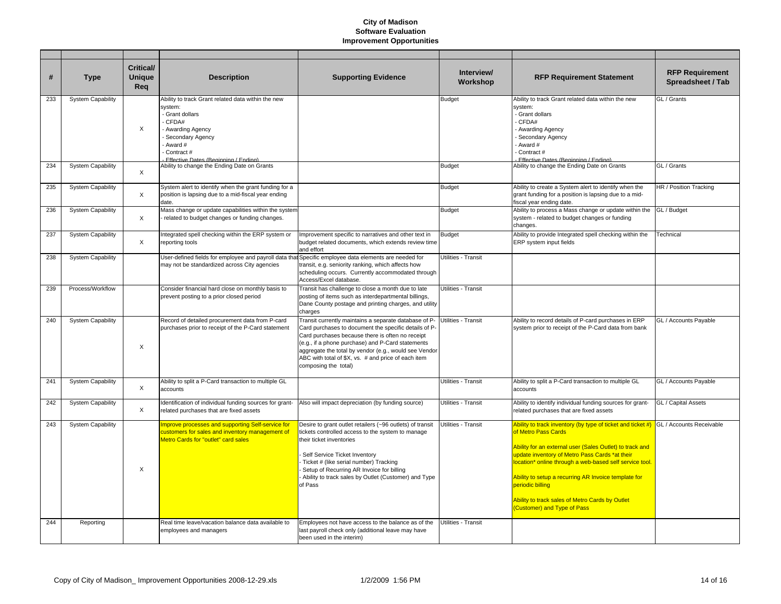| #   | <b>Type</b>              | <b>Critical/</b><br><b>Unique</b><br>Reg | <b>Description</b>                                                                                                                                                                             | <b>Supporting Evidence</b>                                                                                                                                                                                                                                                                                                                                      | Interview/<br>Workshop | <b>RFP Requirement Statement</b>                                                                                                                                                                                                                                                                                                                                                                                                                        | <b>RFP Requirement</b><br>Spreadsheet / Tab |
|-----|--------------------------|------------------------------------------|------------------------------------------------------------------------------------------------------------------------------------------------------------------------------------------------|-----------------------------------------------------------------------------------------------------------------------------------------------------------------------------------------------------------------------------------------------------------------------------------------------------------------------------------------------------------------|------------------------|---------------------------------------------------------------------------------------------------------------------------------------------------------------------------------------------------------------------------------------------------------------------------------------------------------------------------------------------------------------------------------------------------------------------------------------------------------|---------------------------------------------|
| 233 | <b>System Capability</b> | X                                        | Ability to track Grant related data within the new<br>svstem:<br>Grant dollars<br>CFDA#<br>Awarding Agency<br>Secondary Agency<br>Award #<br>Contract#<br>Effective Dates (Beginning / Ending) |                                                                                                                                                                                                                                                                                                                                                                 | <b>Budget</b>          | Ability to track Grant related data within the new<br>system:<br>- Grant dollars<br>- CFDA#<br>- Awarding Agency<br>Secondary Agency<br>Award #<br>Contract #<br>Effective Dates (Beginning / Ending)                                                                                                                                                                                                                                                   | GL / Grants                                 |
| 234 | <b>System Capability</b> | X                                        | Ability to change the Ending Date on Grants                                                                                                                                                    |                                                                                                                                                                                                                                                                                                                                                                 | <b>Budget</b>          | Ability to change the Ending Date on Grants                                                                                                                                                                                                                                                                                                                                                                                                             | GL / Grants                                 |
| 235 | <b>System Capability</b> | Χ                                        | System alert to identify when the grant funding for a<br>position is lapsing due to a mid-fiscal year ending<br>date.                                                                          |                                                                                                                                                                                                                                                                                                                                                                 | Budget                 | Ability to create a System alert to identify when the<br>grant funding for a position is lapsing due to a mid-<br>fiscal year ending date.                                                                                                                                                                                                                                                                                                              | HR / Position Tracking                      |
| 236 | <b>System Capability</b> | X                                        | Mass change or update capabilities within the system<br>related to budget changes or funding changes.                                                                                          |                                                                                                                                                                                                                                                                                                                                                                 | <b>Budget</b>          | Ability to process a Mass change or update within the<br>system - related to budget changes or funding<br>changes.                                                                                                                                                                                                                                                                                                                                      | GL / Budget                                 |
| 237 | <b>System Capability</b> | $\times$                                 | Integrated spell checking within the ERP system or<br>reporting tools                                                                                                                          | Improvement specific to narratives and other text in<br>budget related documents, which extends review time<br>and effort                                                                                                                                                                                                                                       | Budget                 | Ability to provide Integrated spell checking within the<br>ERP system input fields                                                                                                                                                                                                                                                                                                                                                                      | Technical                                   |
| 238 | <b>System Capability</b> |                                          | User-defined fields for employee and payroll data tha<br>may not be standardized across City agencies                                                                                          | Specific employee data elements are needed for<br>transit, e.g. seniority ranking, which affects how<br>scheduling occurs. Currently accommodated through<br>Access/Excel database.                                                                                                                                                                             | Utilities - Transit    |                                                                                                                                                                                                                                                                                                                                                                                                                                                         |                                             |
| 239 | Process/Workflow         |                                          | Consider financial hard close on monthly basis to<br>prevent posting to a prior closed period                                                                                                  | Transit has challenge to close a month due to late<br>posting of items such as interdepartmental billings,<br>Dane County postage and printing charges, and utility<br>charges                                                                                                                                                                                  | Utilities - Transit    |                                                                                                                                                                                                                                                                                                                                                                                                                                                         |                                             |
| 240 | <b>System Capability</b> | X                                        | Record of detailed procurement data from P-card<br>purchases prior to receipt of the P-Card statement                                                                                          | Transit currently maintains a separate database of P-<br>Card purchases to document the specific details of P-<br>Card purchases because there is often no receipt<br>(e.g., if a phone purchase) and P-Card statements<br>aggregate the total by vendor (e.g., would see Vendor<br>ABC with total of \$X, vs. # and price of each item<br>composing the total) | Utilities - Transit    | Ability to record details of P-card purchases in ERP<br>system prior to receipt of the P-Card data from bank                                                                                                                                                                                                                                                                                                                                            | GL / Accounts Payable                       |
| 241 | <b>System Capability</b> | X                                        | Ability to split a P-Card transaction to multiple GL<br>accounts                                                                                                                               |                                                                                                                                                                                                                                                                                                                                                                 | Utilities - Transit    | Ability to split a P-Card transaction to multiple GL<br>accounts                                                                                                                                                                                                                                                                                                                                                                                        | GL / Accounts Payable                       |
| 242 | <b>System Capability</b> | X                                        | Identification of individual funding sources for grant-<br>related purchases that are fixed assets                                                                                             | Also will impact depreciation (by funding source)                                                                                                                                                                                                                                                                                                               | Utilities - Transit    | Ability to identify individual funding sources for grant-<br>related purchases that are fixed assets                                                                                                                                                                                                                                                                                                                                                    | GL / Capital Assets                         |
| 243 | <b>System Capability</b> | X                                        | Improve processes and supporting Self-service for<br>customers for sales and inventory management of<br><b>Metro Cards for "outlet" card sales</b>                                             | Desire to grant outlet retailers (~96 outlets) of transit<br>tickets controlled access to the system to manage<br>their ticket inventories<br>Self Service Ticket Inventory<br>Ticket # (like serial number) Tracking<br>Setup of Recurring AR Invoice for billing<br>Ability to track sales by Outlet (Customer) and Type<br>of Pass                           | Utilities - Transit    | Nollity to track inventory (by type of ticket and ticket #) GL / Accounts Receivable<br>of Metro Pass Cards<br>Ability for an external user (Sales Outlet) to track and<br>update inventory of Metro Pass Cards *at their<br>ocation* online through a web-based self service tool.<br>Ability to setup a recurring AR Invoice template for<br>periodic billing<br>Ability to track sales of Metro Cards by Outlet<br><b>Customer) and Type of Pass</b> |                                             |
| 244 | Reporting                |                                          | Real time leave/vacation balance data available to<br>employees and managers                                                                                                                   | Employees not have access to the balance as of the<br>last payroll check only (additional leave may have<br>been used in the interim)                                                                                                                                                                                                                           | Utilities - Transit    |                                                                                                                                                                                                                                                                                                                                                                                                                                                         |                                             |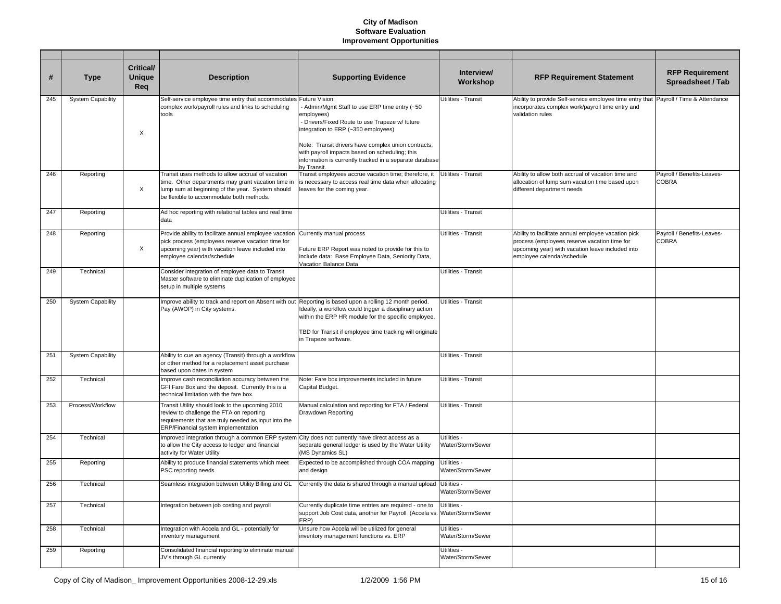| #   | <b>Type</b>              | <b>Critical/</b><br><b>Unique</b><br>Req | <b>Description</b>                                                                                                                                                                                      | <b>Supporting Evidence</b>                                                                                                                                                                                                                                                                                                                                | Interview/<br>Workshop           | <b>RFP Requirement Statement</b>                                                                                                                                                      | <b>RFP Requirement</b><br>Spreadsheet / Tab |
|-----|--------------------------|------------------------------------------|---------------------------------------------------------------------------------------------------------------------------------------------------------------------------------------------------------|-----------------------------------------------------------------------------------------------------------------------------------------------------------------------------------------------------------------------------------------------------------------------------------------------------------------------------------------------------------|----------------------------------|---------------------------------------------------------------------------------------------------------------------------------------------------------------------------------------|---------------------------------------------|
| 245 | <b>System Capability</b> | X                                        | Self-service employee time entry that accommodates<br>complex work/payroll rules and links to scheduling<br>tools                                                                                       | Future Vision:<br>- Admin/Mgmt Staff to use ERP time entry (~50<br>employees)<br>- Drivers/Fixed Route to use Trapeze w/ future<br>integration to ERP (~350 employees)<br>Note: Transit drivers have complex union contracts,<br>with payroll impacts based on scheduling; this<br>information is currently tracked in a separate database<br>by Transit. | Utilities - Transit              | Ability to provide Self-service employee time entry that<br>incorporates complex work/payroll time entry and<br>validation rules                                                      | Payroll / Time & Attendance                 |
| 246 | Reporting                | X                                        | Transit uses methods to allow accrual of vacation<br>time. Other departments may grant vacation time in<br>lump sum at beginning of the year. System should<br>be flexible to accommodate both methods. | Transit employees accrue vacation time; therefore, it<br>is necessary to access real time data when allocating<br>leaves for the coming year.                                                                                                                                                                                                             | Utilities - Transit              | Ability to allow both accrual of vacation time and<br>allocation of lump sum vacation time based upon<br>different department needs                                                   | Payroll / Benefits-Leaves-<br><b>COBRA</b>  |
| 247 | Reporting                |                                          | Ad hoc reporting with relational tables and real time<br>data                                                                                                                                           |                                                                                                                                                                                                                                                                                                                                                           | Utilities - Transit              |                                                                                                                                                                                       |                                             |
| 248 | Reporting                | Χ                                        | Provide ability to facilitate annual employee vacation<br>pick process (employees reserve vacation time for<br>upcoming year) with vacation leave included into<br>employee calendar/schedule           | Currently manual process<br>Future ERP Report was noted to provide for this to<br>include data: Base Employee Data, Seniority Data,<br>Vacation Balance Data                                                                                                                                                                                              | Utilities - Transit              | Ability to facilitate annual employee vacation pick<br>process (employees reserve vacation time for<br>upcoming year) with vacation leave included into<br>employee calendar/schedule | Payroll / Benefits-Leaves-<br><b>COBRA</b>  |
| 249 | Technical                |                                          | Consider integration of employee data to Transit<br>Master software to eliminate duplication of employee<br>setup in multiple systems                                                                   |                                                                                                                                                                                                                                                                                                                                                           | Utilities - Transit              |                                                                                                                                                                                       |                                             |
| 250 | <b>System Capability</b> |                                          | Improve ability to track and report on Absent with out Reporting is based upon a rolling 12 month period.<br>Pay (AWOP) in City systems.                                                                | Ideally, a workflow could trigger a disciplinary action<br>within the ERP HR module for the specific employee.<br>TBD for Transit if employee time tracking will originate<br>in Trapeze software.                                                                                                                                                        | Utilities - Transit              |                                                                                                                                                                                       |                                             |
| 251 | <b>System Capability</b> |                                          | Ability to cue an agency (Transit) through a workflow<br>or other method for a replacement asset purchase<br>based upon dates in system                                                                 |                                                                                                                                                                                                                                                                                                                                                           | Utilities - Transit              |                                                                                                                                                                                       |                                             |
| 252 | Technical                |                                          | Improve cash reconciliation accuracy between the<br>GFI Fare Box and the deposit. Currently this is a<br>technical limitation with the fare box.                                                        | Note: Fare box improvements included in future<br>Capital Budget.                                                                                                                                                                                                                                                                                         | Utilities - Transit              |                                                                                                                                                                                       |                                             |
| 253 | Process/Workflow         |                                          | Transit Utility should look to the upcoming 2010<br>review to challenge the FTA on reporting<br>requirements that are truly needed as input into the<br>ERP/Financial system implementation             | Manual calculation and reporting for FTA / Federal<br>Drawdown Reporting                                                                                                                                                                                                                                                                                  | Utilities - Transit              |                                                                                                                                                                                       |                                             |
| 254 | Technical                |                                          | Improved integration through a common ERP system<br>to allow the City access to ledger and financial<br>activity for Water Utility                                                                      | City does not currently have direct access as a<br>separate general ledger is used by the Water Utility<br>(MS Dynamics SL)                                                                                                                                                                                                                               | Utilities -<br>Water/Storm/Sewer |                                                                                                                                                                                       |                                             |
| 255 | Reporting                |                                          | Ability to produce financial statements which meet<br>PSC reporting needs                                                                                                                               | Expected to be accomplished through COA mapping<br>and design                                                                                                                                                                                                                                                                                             | Utilities -<br>Water/Storm/Sewer |                                                                                                                                                                                       |                                             |
| 256 | Technical                |                                          | Seamless integration between Utility Billing and GL                                                                                                                                                     | Currently the data is shared through a manual upload Utilities -                                                                                                                                                                                                                                                                                          | Water/Storm/Sewer                |                                                                                                                                                                                       |                                             |
| 257 | Technical                |                                          | Integration between job costing and payroll                                                                                                                                                             | Currently duplicate time entries are required - one to<br>support Job Cost data, another for Payroll (Accela vs. Water/Storm/Sewer<br>ERP)                                                                                                                                                                                                                | Utilities -                      |                                                                                                                                                                                       |                                             |
| 258 | Technical                |                                          | Integration with Accela and GL - potentially for<br>inventory management                                                                                                                                | Unsure how Accela will be utilized for general<br>inventory management functions vs. ERP                                                                                                                                                                                                                                                                  | Utilities -<br>Water/Storm/Sewer |                                                                                                                                                                                       |                                             |
| 259 | Reporting                |                                          | Consolidated financial reporting to eliminate manual<br>JV's through GL currently                                                                                                                       |                                                                                                                                                                                                                                                                                                                                                           | Utilities -<br>Water/Storm/Sewer |                                                                                                                                                                                       |                                             |